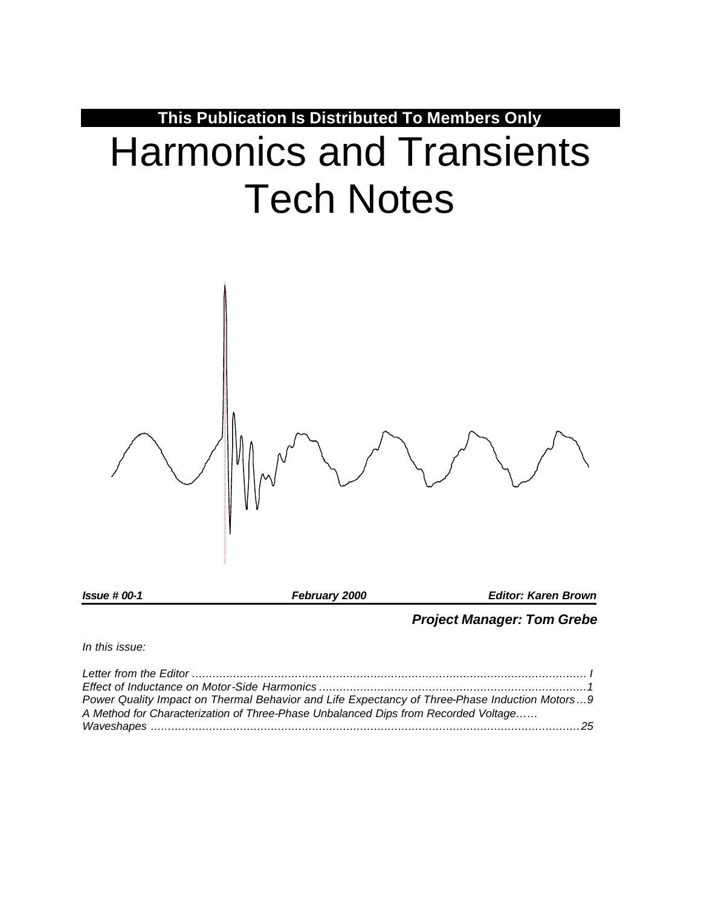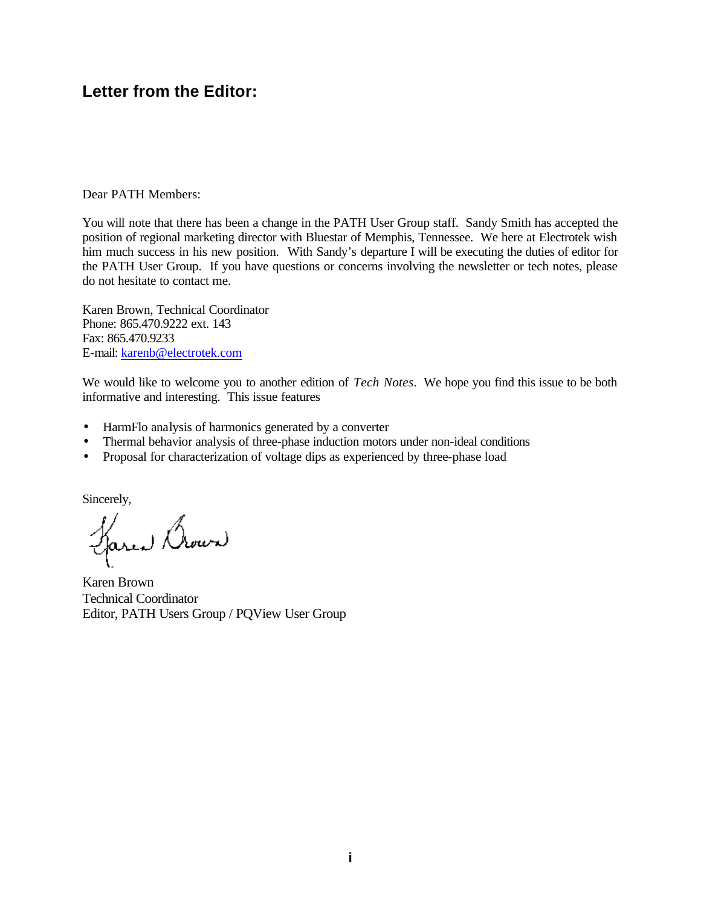# **Letter from the Editor:**

Dear PATH Members:

You will note that there has been a change in the PATH User Group staff. Sandy Smith has accepted the position of regional marketing director with Bluestar of Memphis, Tennessee. We here at Electrotek wish him much success in his new position. With Sandy's departure I will be executing the duties of editor for the PATH User Group. If you have questions or concerns involving the newsletter or tech notes, please do not hesitate to contact me.

Karen Brown, Technical Coordinator Phone: 865.470.9222 ext. 143 Fax: 865.470.9233 E-mail: karenb@electrotek.com

We would like to welcome you to another edition of *Tech Notes*. We hope you find this issue to be both informative and interesting. This issue features

- HarmFlo analysis of harmonics generated by a converter
- Thermal behavior analysis of three-phase induction motors under non-ideal conditions
- Proposal for characterization of voltage dips as experienced by three-phase load

Sincerely,

Larea Brown

Karen Brown Technical Coordinator Editor, PATH Users Group / PQView User Group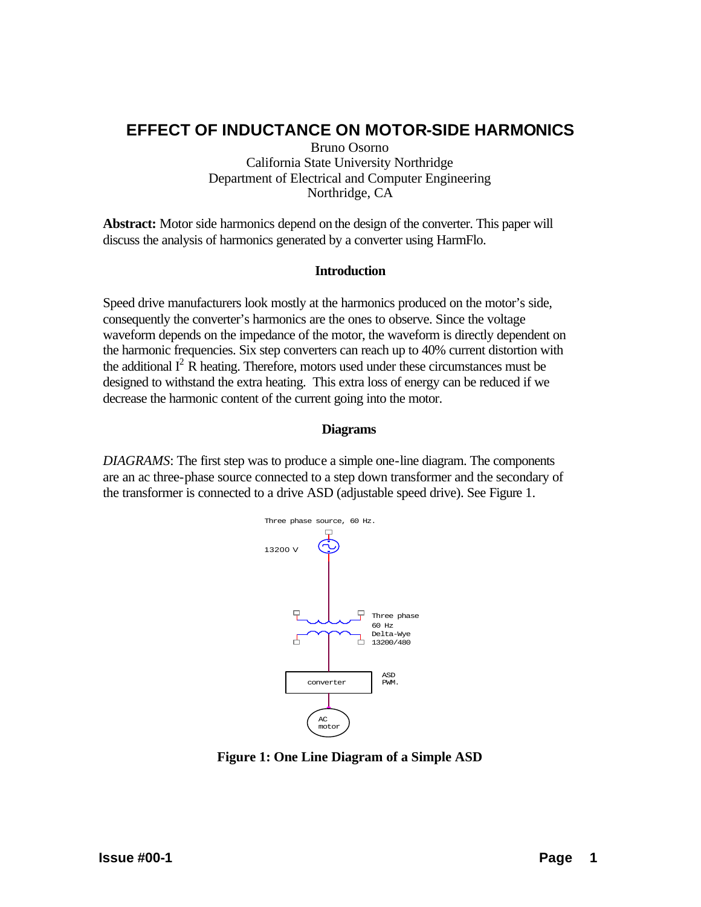# **EFFECT OF INDUCTANCE ON MOTOR-SIDE HARMONICS**

Bruno Osorno California State University Northridge Department of Electrical and Computer Engineering Northridge, CA

**Abstract:** Motor side harmonics depend on the design of the converter. This paper will discuss the analysis of harmonics generated by a converter using HarmFlo.

# **Introduction**

Speed drive manufacturers look mostly at the harmonics produced on the motor's side, consequently the converter's harmonics are the ones to observe. Since the voltage waveform depends on the impedance of the motor, the waveform is directly dependent on the harmonic frequencies. Six step converters can reach up to 40% current distortion with the additional  $I^2$  R heating. Therefore, motors used under these circumstances must be designed to withstand the extra heating. This extra loss of energy can be reduced if we decrease the harmonic content of the current going into the motor.

# **Diagrams**

*DIAGRAMS*: The first step was to produce a simple one-line diagram. The components are an ac three-phase source connected to a step down transformer and the secondary of the transformer is connected to a drive ASD (adjustable speed drive). See Figure 1.



**Figure 1: One Line Diagram of a Simple ASD**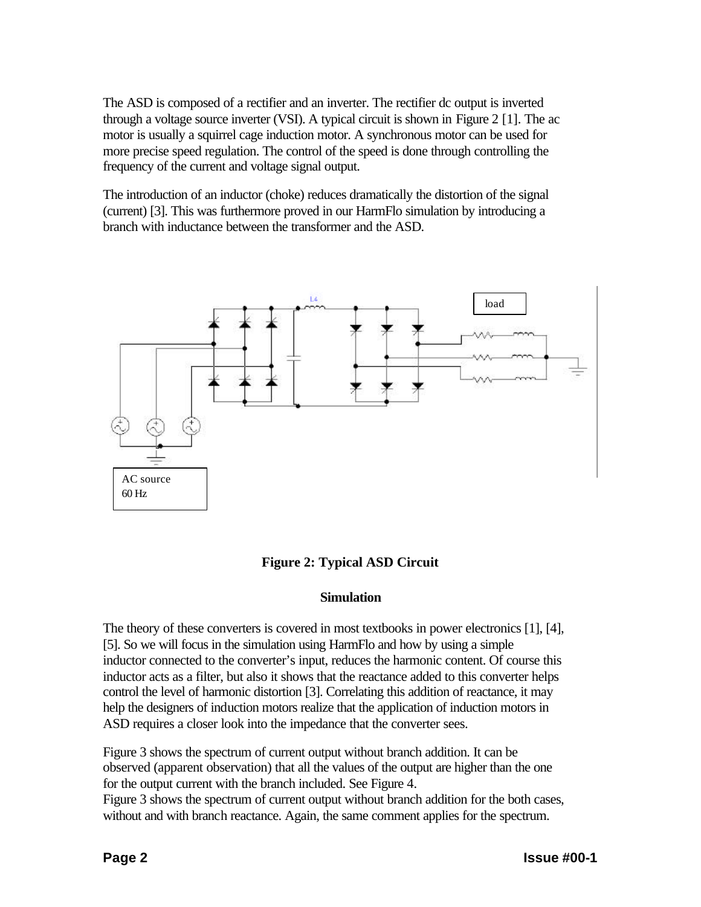The ASD is composed of a rectifier and an inverter. The rectifier dc output is inverted through a voltage source inverter (VSI). A typical circuit is shown in Figure 2 [1]. The ac motor is usually a squirrel cage induction motor. A synchronous motor can be used for more precise speed regulation. The control of the speed is done through controlling the frequency of the current and voltage signal output.

The introduction of an inductor (choke) reduces dramatically the distortion of the signal (current) [3]. This was furthermore proved in our HarmFlo simulation by introducing a branch with inductance between the transformer and the ASD.



# **Figure 2: Typical ASD Circuit**

# **Simulation**

The theory of these converters is covered in most textbooks in power electronics [1], [4], [5]. So we will focus in the simulation using HarmFlo and how by using a simple inductor connected to the converter's input, reduces the harmonic content. Of course this inductor acts as a filter, but also it shows that the reactance added to this converter helps control the level of harmonic distortion [3]. Correlating this addition of reactance, it may help the designers of induction motors realize that the application of induction motors in ASD requires a closer look into the impedance that the converter sees.

Figure 3 shows the spectrum of current output without branch addition. It can be observed (apparent observation) that all the values of the output are higher than the one for the output current with the branch included. See Figure 4.

Figure 3 shows the spectrum of current output without branch addition for the both cases, without and with branch reactance. Again, the same comment applies for the spectrum.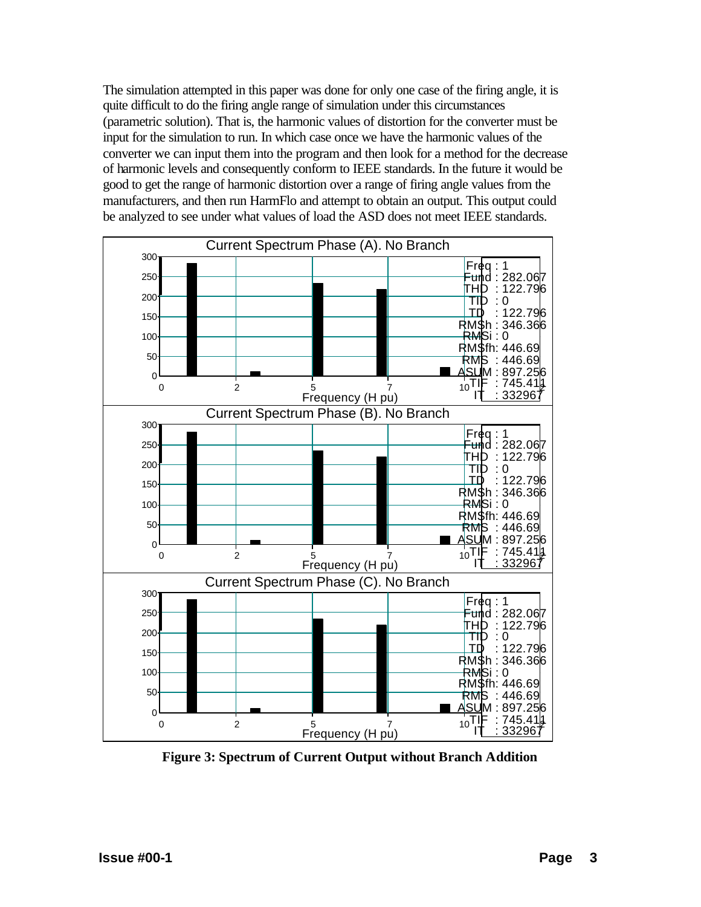The simulation attempted in this paper was done for only one case of the firing angle, it is quite difficult to do the firing angle range of simulation under this circumstances (parametric solution). That is, the harmonic values of distortion for the converter must be input for the simulation to run. In which case once we have the harmonic values of the converter we can input them into the program and then look for a method for the decrease of harmonic levels and consequently conform to IEEE standards. In the future it would be good to get the range of harmonic distortion over a range of firing angle values from the manufacturers, and then run HarmFlo and attempt to obtain an output. This output could be analyzed to see under what values of load the ASD does not meet IEEE standards.



**Figure 3: Spectrum of Current Output without Branch Addition**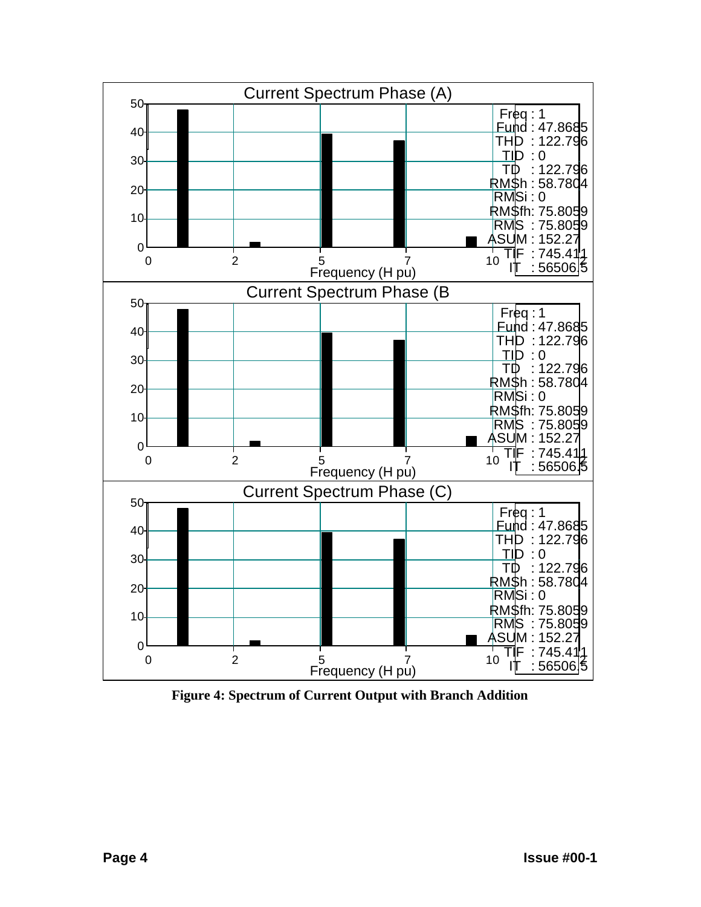

**Figure 4: Spectrum of Current Output with Branch Addition**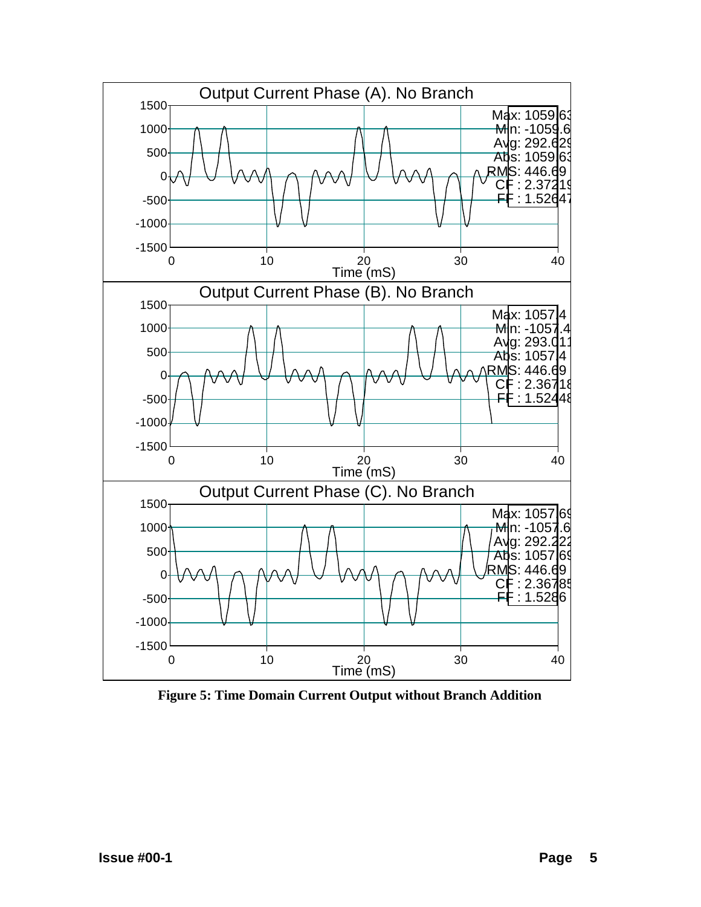

**Figure 5: Time Domain Current Output without Branch Addition**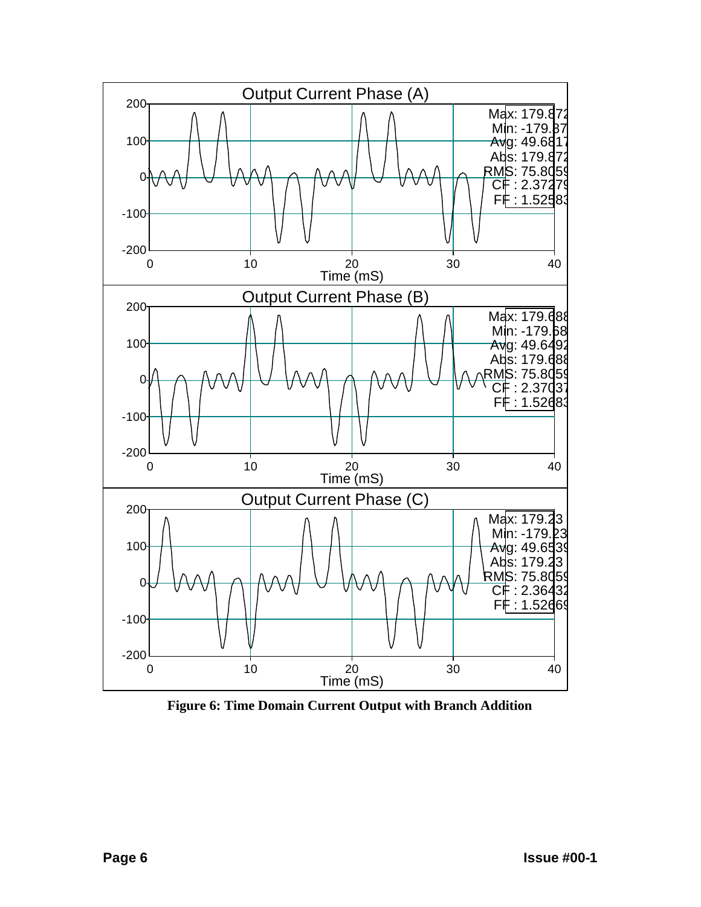

**Figure 6: Time Domain Current Output with Branch Addition**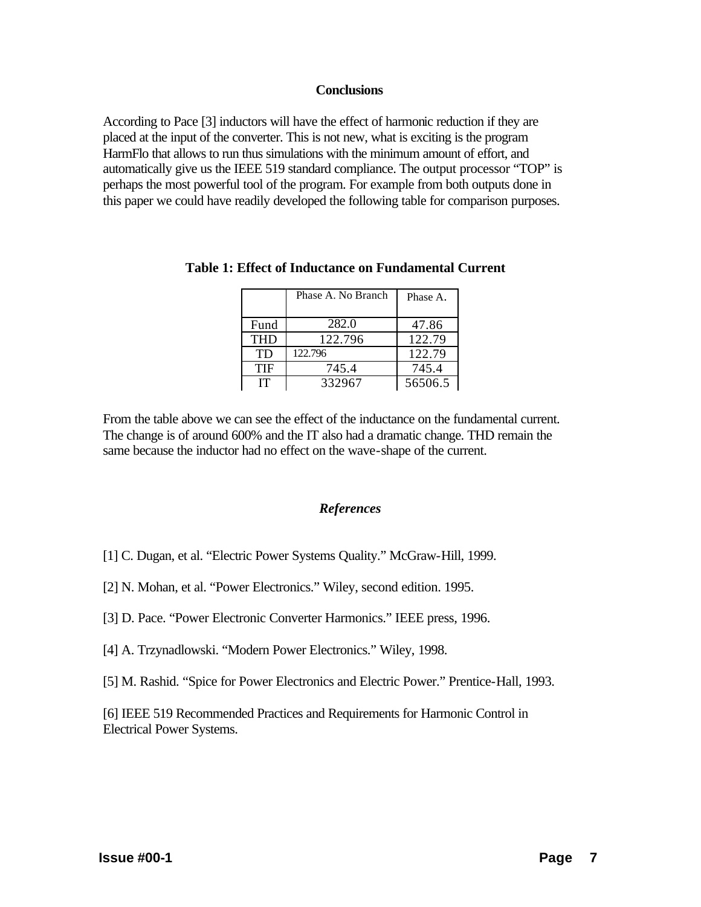# **Conclusions**

According to Pace [3] inductors will have the effect of harmonic reduction if they are placed at the input of the converter. This is not new, what is exciting is the program HarmFlo that allows to run thus simulations with the minimum amount of effort, and automatically give us the IEEE 519 standard compliance. The output processor "TOP" is perhaps the most powerful tool of the program. For example from both outputs done in this paper we could have readily developed the following table for comparison purposes.

|            | Phase A. No Branch | Phase A. |
|------------|--------------------|----------|
|            |                    |          |
| Fund       | 282.0              | 47.86    |
| <b>THD</b> | 122.796            | 122.79   |
| <b>TD</b>  | 122.796            | 122.79   |
| TIF        | 745.4              | 745.4    |
| <b>IT</b>  | 332967             | 56506.5  |

## **Table 1: Effect of Inductance on Fundamental Current**

From the table above we can see the effect of the inductance on the fundamental current. The change is of around 600% and the IT also had a dramatic change. THD remain the same because the inductor had no effect on the wave-shape of the current.

#### *References*

- [1] C. Dugan, et al. "Electric Power Systems Quality." McGraw-Hill, 1999.
- [2] N. Mohan, et al. "Power Electronics." Wiley, second edition. 1995.
- [3] D. Pace. "Power Electronic Converter Harmonics." IEEE press, 1996.
- [4] A. Trzynadlowski. "Modern Power Electronics." Wiley, 1998.
- [5] M. Rashid. "Spice for Power Electronics and Electric Power." Prentice-Hall, 1993.

[6] IEEE 519 Recommended Practices and Requirements for Harmonic Control in Electrical Power Systems.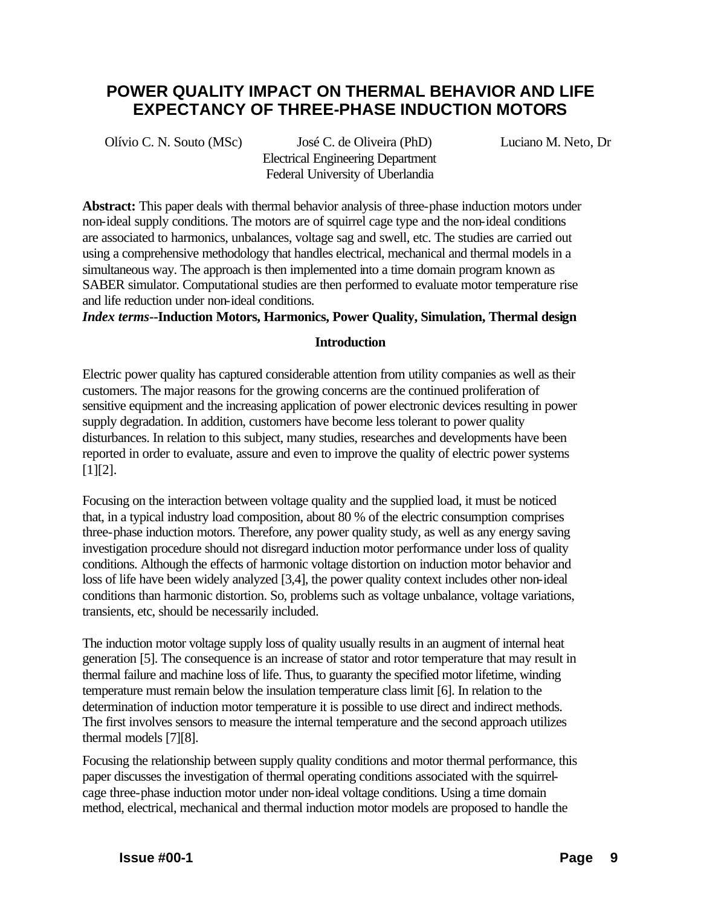# **POWER QUALITY IMPACT ON THERMAL BEHAVIOR AND LIFE EXPECTANCY OF THREE-PHASE INDUCTION MOTORS**

Olívio C. N. Souto (MSc) José C. de Oliveira (PhD) Luciano M. Neto, Dr Electrical Engineering Department Federal University of Uberlandia

**Abstract:** This paper deals with thermal behavior analysis of three-phase induction motors under non-ideal supply conditions. The motors are of squirrel cage type and the non-ideal conditions are associated to harmonics, unbalances, voltage sag and swell, etc. The studies are carried out using a comprehensive methodology that handles electrical, mechanical and thermal models in a simultaneous way. The approach is then implemented into a time domain program known as SABER simulator. Computational studies are then performed to evaluate motor temperature rise and life reduction under non-ideal conditions.

*Index terms***--Induction Motors, Harmonics, Power Quality, Simulation, Thermal design**

# **Introduction**

Electric power quality has captured considerable attention from utility companies as well as their customers. The major reasons for the growing concerns are the continued proliferation of sensitive equipment and the increasing application of power electronic devices resulting in power supply degradation. In addition, customers have become less tolerant to power quality disturbances. In relation to this subject, many studies, researches and developments have been reported in order to evaluate, assure and even to improve the quality of electric power systems [1][2].

Focusing on the interaction between voltage quality and the supplied load, it must be noticed that, in a typical industry load composition, about 80 % of the electric consumption comprises three-phase induction motors. Therefore, any power quality study, as well as any energy saving investigation procedure should not disregard induction motor performance under loss of quality conditions. Although the effects of harmonic voltage distortion on induction motor behavior and loss of life have been widely analyzed [3,4], the power quality context includes other non-ideal conditions than harmonic distortion. So, problems such as voltage unbalance, voltage variations, transients, etc, should be necessarily included.

The induction motor voltage supply loss of quality usually results in an augment of internal heat generation [5]. The consequence is an increase of stator and rotor temperature that may result in thermal failure and machine loss of life. Thus, to guaranty the specified motor lifetime, winding temperature must remain below the insulation temperature class limit [6]. In relation to the determination of induction motor temperature it is possible to use direct and indirect methods. The first involves sensors to measure the internal temperature and the second approach utilizes thermal models [7][8].

Focusing the relationship between supply quality conditions and motor thermal performance, this paper discusses the investigation of thermal operating conditions associated with the squirrelcage three-phase induction motor under non-ideal voltage conditions. Using a time domain method, electrical, mechanical and thermal induction motor models are proposed to handle the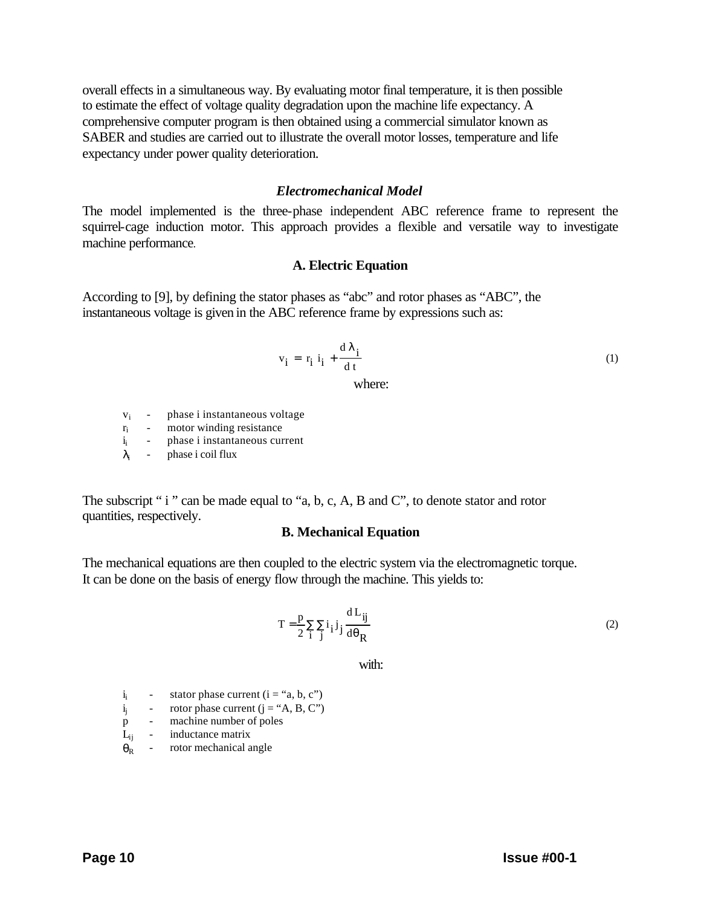overall effects in a simultaneous way. By evaluating motor final temperature, it is then possible to estimate the effect of voltage quality degradation upon the machine life expectancy. A comprehensive computer program is then obtained using a commercial simulator known as SABER and studies are carried out to illustrate the overall motor losses, temperature and life expectancy under power quality deterioration.

#### *Electromechanical Model*

The model implemented is the three-phase independent ABC reference frame to represent the squirrel-cage induction motor. This approach provides a flexible and versatile way to investigate machine performance.

## **A. Electric Equation**

According to [9], by defining the stator phases as "abc" and rotor phases as "ABC", the instantaneous voltage is given in the ABC reference frame by expressions such as:

$$
v_{i} = r_{i} i_{i} + \frac{d \lambda_{i}}{dt}
$$
 (1)

where:

- $v_i$  phase i instantaneous voltage  $r_i$  motor winding resistance
- motor winding resistance
- i<sub>i</sub> phase i instantaneous current
- $λ_i$  phase i coil flux

The subscript " i " can be made equal to "a, b, c, A, B and C", to denote stator and rotor quantities, respectively.

## **B. Mechanical Equation**

The mechanical equations are then coupled to the electric system via the electromagnetic torque. It can be done on the basis of energy flow through the machine. This yields to:

$$
T = \frac{p}{2} \sum_{i} \sum_{j} i_{i} j_{j} \frac{dL_{ij}}{d\theta_{R}}
$$
 (2)

with:

- $i_i$  stator phase current ( $i = "a, b, c"$ )
- $i_j$  rotor phase current  $(j = "A, B, C")$
- p machine number of poles
- $L_{ij}$  inductance matrix
- $\theta_R$  rotor mechanical angle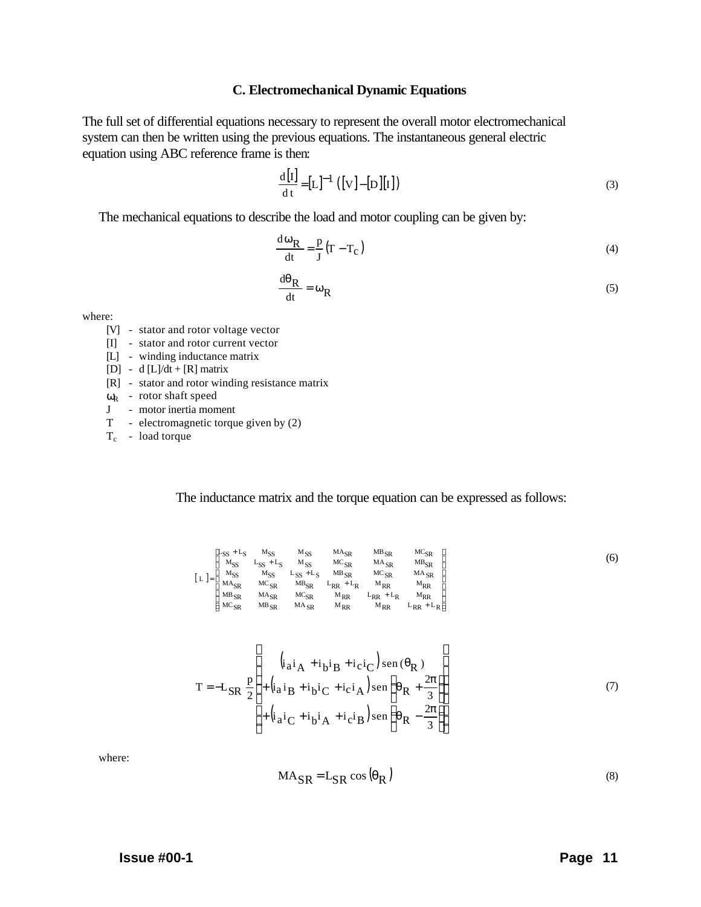#### **C. Electromechanical Dynamic Equations**

The full set of differential equations necessary to represent the overall motor electromechanical system can then be written using the previous equations. The instantaneous general electric equation using ABC reference frame is then:

$$
\frac{d[I]}{dt} = [L]^{-1} ([V] - [D][I])
$$
\n(3)

The mechanical equations to describe the load and motor coupling can be given by:

$$
\frac{d\omega_{\mathbf{R}}}{dt} = \frac{p}{J} (\mathbf{T} - \mathbf{T}_{\mathbf{C}})
$$
\n(4)

$$
\frac{d\theta_R}{dt} = \omega_R \tag{5}
$$

where:

- [V] stator and rotor voltage vector
- [I] stator and rotor current vector
- [L] winding inductance matrix
- [D] d [L]/dt + [R] matrix
- [R] stator and rotor winding resistance matrix
- $\omega_{\text{R}}$  rotor shaft speed
- J motor inertia moment
- T electromagnetic torque given by (2)
- $T_c$  load torque

The inductance matrix and the torque equation can be expressed as follows:

|                                                           | $L_{SS}$ + $L_S$ | $M_{SS}$         | $M_{SS}$         | $MA_{SR}$          | $MB_{SR}$          | $MC_{SR}$          |
|-----------------------------------------------------------|------------------|------------------|------------------|--------------------|--------------------|--------------------|
|                                                           | $M_{SS}$         | $L_{SS}$ + $L_S$ | $M_{SS}$         | ${MC}_{SR}$        | $MA_{SR}$          | $MB_{SR}$          |
| $\lceil L \rceil$<br>$l =$ <sup><math>\prime</math></sup> | $M_{SS}$         | $M_{SS}$         | $L_{SS}$ + $L_S$ | $MB_{SR}$          | $MC_{SR}$          | $MA_{SR}$          |
|                                                           | $MA_{SR}$        | $MC_{SR}$        | $MB_{SR}$        | $L_{RR}$ + $L_{R}$ | $M_{RR}$           | $M_{RR}$           |
|                                                           | $MB_{SR}$        | $MA_{SR}$        | $MC_{SR}$        | $M_{RR}$           | $L_{RR}$ + $L_{R}$ | $M_{RR}$           |
|                                                           | $MC_{SR}$        | $MB_{SR}$        | $MA_{SR}$        | $M_{RR}$           | $M_{RR}$           | $L_{RR}$ + $L_{R}$ |

$$
T = -L_{SR} \frac{p}{2} \left\{ + \left( i_{a} i_{B} + i_{b} i_{C} + i_{c} i_{A} \right) \operatorname{sen} \left( \theta_{R} + \frac{2\pi}{3} \right) \right\} + \left( i_{a} i_{C} + i_{b} i_{A} + i_{c} i_{B} \right) \operatorname{sen} \left( \theta_{R} - \frac{2\pi}{3} \right) \right\}
$$
(7)

where:

$$
MA_{SR} = L_{SR} \cos \left(\theta_R\right) \tag{8}
$$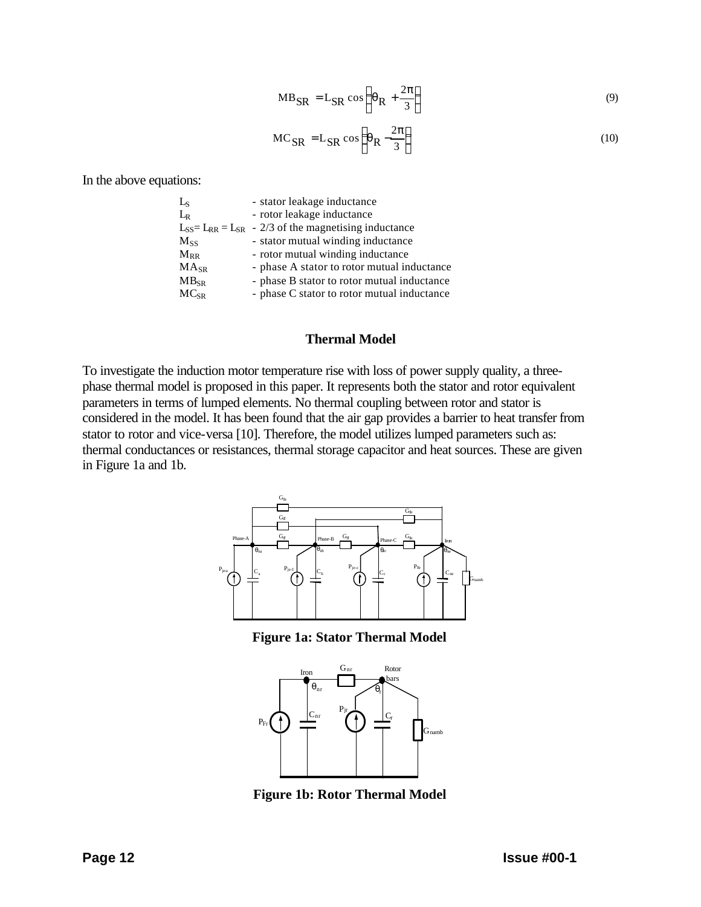$$
MB_{SR} = L_{SR} \cos\left(\theta_R + \frac{2\pi}{3}\right)
$$
\n(9)

$$
MC_{SR} = L_{SR} \cos\left(\theta_R - \frac{2\pi}{3}\right)
$$
 (10)

In the above equations:

| - stator leakage inductance                                    |
|----------------------------------------------------------------|
| - rotor leakage inductance                                     |
| $L_{SS} = L_{RR} = L_{SR} - 2/3$ of the magnetising inductance |
| - stator mutual winding inductance                             |
| - rotor mutual winding inductance                              |
| - phase A stator to rotor mutual inductance                    |
| - phase B stator to rotor mutual inductance                    |
| - phase C stator to rotor mutual inductance                    |
|                                                                |

#### **Thermal Model**

To investigate the induction motor temperature rise with loss of power supply quality, a threephase thermal model is proposed in this paper. It represents both the stator and rotor equivalent parameters in terms of lumped elements. No thermal coupling between rotor and stator is considered in the model. It has been found that the air gap provides a barrier to heat transfer from stator to rotor and vice-versa [10]. Therefore, the model utilizes lumped parameters such as: thermal conductances or resistances, thermal storage capacitor and heat sources. These are given in Figure 1a and 1b.



**Figure 1a: Stator Thermal Model**



**Figure 1b: Rotor Thermal Model**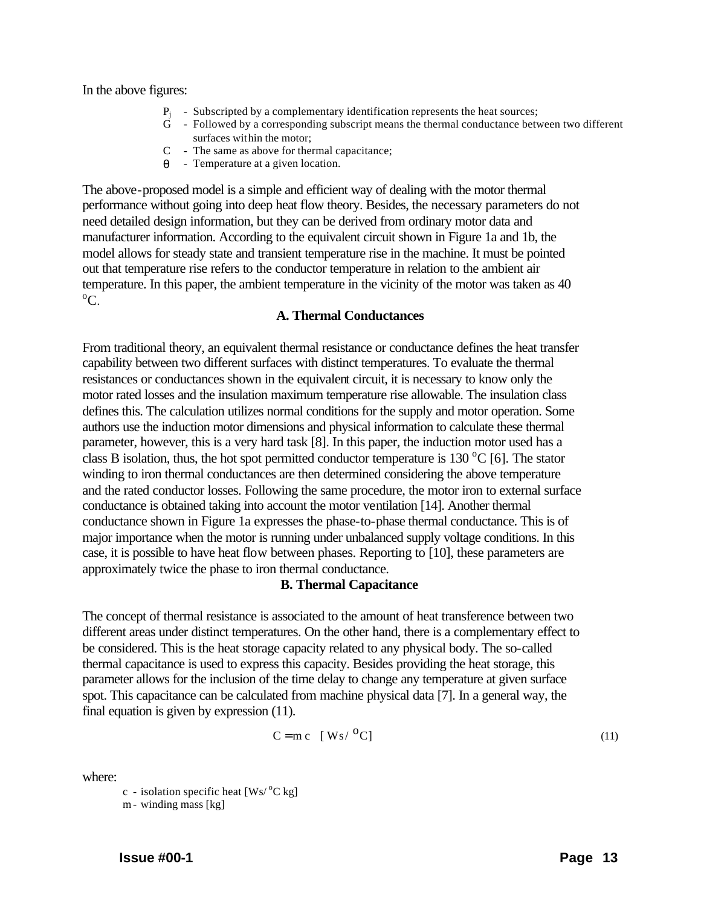In the above figures:

- $P_i$  Subscripted by a complementary identification represents the heat sources;
- G Followed by a corresponding subscript means the thermal conductance between two different surfaces within the motor;
- C The same as above for thermal capacitance;
- $\theta$  Temperature at a given location.

The above-proposed model is a simple and efficient way of dealing with the motor thermal performance without going into deep heat flow theory. Besides, the necessary parameters do not need detailed design information, but they can be derived from ordinary motor data and manufacturer information. According to the equivalent circuit shown in Figure 1a and 1b, the model allows for steady state and transient temperature rise in the machine. It must be pointed out that temperature rise refers to the conductor temperature in relation to the ambient air temperature. In this paper, the ambient temperature in the vicinity of the motor was taken as 40  $\rm{^0C}$ .

# **A. Thermal Conductances**

From traditional theory, an equivalent thermal resistance or conductance defines the heat transfer capability between two different surfaces with distinct temperatures. To evaluate the thermal resistances or conductances shown in the equivalent circuit, it is necessary to know only the motor rated losses and the insulation maximum temperature rise allowable. The insulation class defines this. The calculation utilizes normal conditions for the supply and motor operation. Some authors use the induction motor dimensions and physical information to calculate these thermal parameter, however, this is a very hard task [8]. In this paper, the induction motor used has a class B isolation, thus, the hot spot permitted conductor temperature is 130  $^{\circ}$ C [6]. The stator winding to iron thermal conductances are then determined considering the above temperature and the rated conductor losses. Following the same procedure, the motor iron to external surface conductance is obtained taking into account the motor ventilation [14]. Another thermal conductance shown in Figure 1a expresses the phase-to-phase thermal conductance. This is of major importance when the motor is running under unbalanced supply voltage conditions. In this case, it is possible to have heat flow between phases. Reporting to [10], these parameters are approximately twice the phase to iron thermal conductance.

## **B. Thermal Capacitance**

The concept of thermal resistance is associated to the amount of heat transference between two different areas under distinct temperatures. On the other hand, there is a complementary effect to be considered. This is the heat storage capacity related to any physical body. The so-called thermal capacitance is used to express this capacity. Besides providing the heat storage, this parameter allows for the inclusion of the time delay to change any temperature at given surface spot. This capacitance can be calculated from machine physical data [7]. In a general way, the final equation is given by expression (11).

$$
C = mc \quad [ Ws / {}^{0}C ] \tag{11}
$$

where:

c - isolation specific heat  $Ws$ <sup>o</sup>C kg m- winding mass [kg]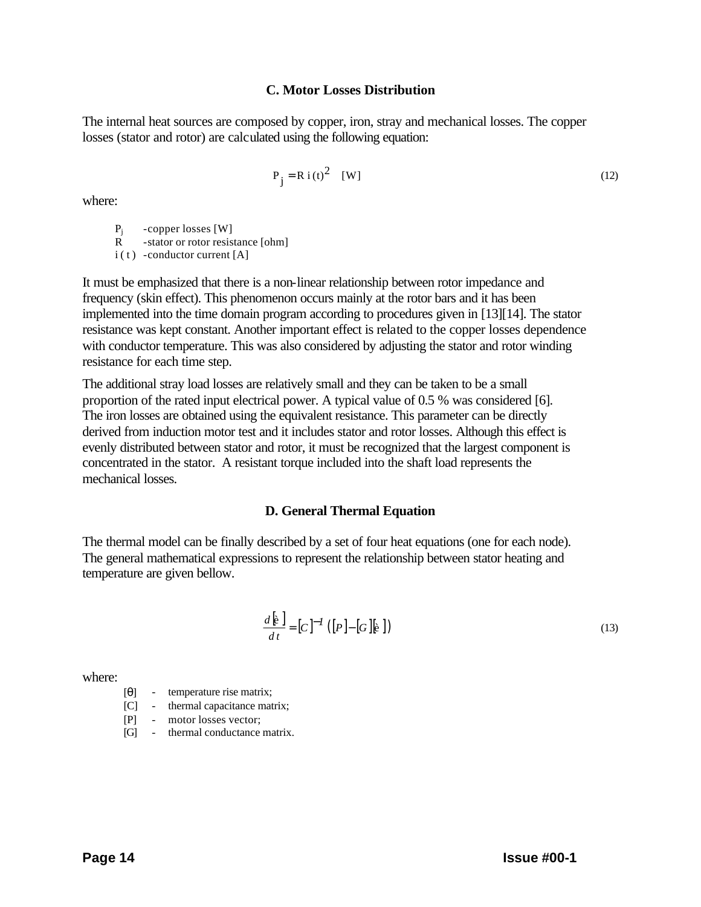# **C. Motor Losses Distribution**

The internal heat sources are composed by copper, iron, stray and mechanical losses. The copper losses (stator and rotor) are calculated using the following equation:

$$
P_j = R i(t)^2 \quad [W] \tag{12}
$$

where:

 $P_i$  -copper losses [W]

R -stator or rotor resistance [ohm]

 $i(t)$  -conductor current [A]

It must be emphasized that there is a non-linear relationship between rotor impedance and frequency (skin effect). This phenomenon occurs mainly at the rotor bars and it has been implemented into the time domain program according to procedures given in [13][14]. The stator resistance was kept constant. Another important effect is related to the copper losses dependence with conductor temperature. This was also considered by adjusting the stator and rotor winding resistance for each time step.

The additional stray load losses are relatively small and they can be taken to be a small proportion of the rated input electrical power. A typical value of 0.5 % was considered [6]. The iron losses are obtained using the equivalent resistance. This parameter can be directly derived from induction motor test and it includes stator and rotor losses. Although this effect is evenly distributed between stator and rotor, it must be recognized that the largest component is concentrated in the stator. A resistant torque included into the shaft load represents the mechanical losses.

## **D. General Thermal Equation**

The thermal model can be finally described by a set of four heat equations (one for each node). The general mathematical expressions to represent the relationship between stator heating and temperature are given bellow.

$$
\frac{d\left[\mathbf{k}\right]}{dt} = [C]^{-1} \left( [P] - [G] \mathbf{k} \right)
$$
\n(13)

where:

$$
[\theta] \qquad \text{temperature rise matrix};
$$

[C] - thermal capacitance matrix;

[P] - motor losses vector;

[G] - thermal conductance matrix.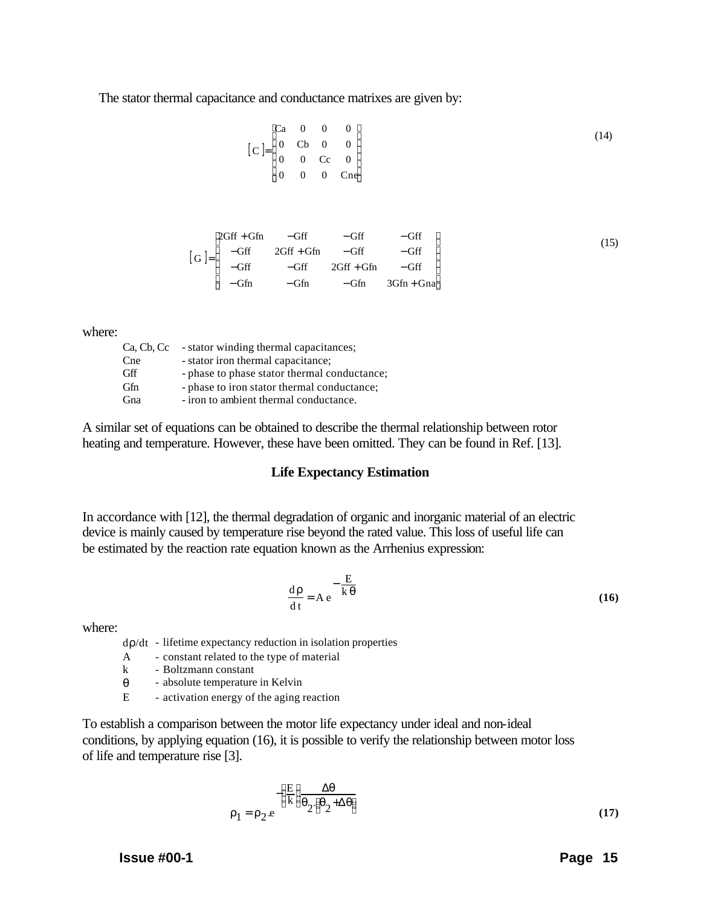The stator thermal capacitance and conductance matrixes are given by:

$$
[C] = \begin{bmatrix} Ca & 0 & 0 & 0 \\ 0 & Cb & 0 & 0 \\ 0 & 0 & Cc & 0 \\ 0 & 0 & 0 & Cne \end{bmatrix}
$$
 (14)

$$
[G] = \begin{bmatrix} 2Gff + Gfn & -Gff & -Gff & -Gff \\ -Gff & 2Gff + Gfn & -Gff & -Gff \\ -Gff & -Gff & 2Gff + Gfn & -Gff \\ -Gfn & -Gfn & -Gfn & 3Gfn + Gna \end{bmatrix}
$$
(15)

where:

| Ca, Cb, Cc | - stator winding thermal capacitances;       |
|------------|----------------------------------------------|
| Cne        | - stator iron thermal capacitance;           |
| Gff        | - phase to phase stator thermal conductance; |
| Gfn        | - phase to iron stator thermal conductance;  |
| Gna        | - iron to ambient thermal conductance.       |
|            |                                              |

A similar set of equations can be obtained to describe the thermal relationship between rotor heating and temperature. However, these have been omitted. They can be found in Ref. [13].

#### **Life Expectancy Estimation**

In accordance with [12], the thermal degradation of organic and inorganic material of an electric device is mainly caused by temperature rise beyond the rated value. This loss of useful life can be estimated by the reaction rate equation known as the Arrhenius expression:

$$
\frac{d\rho}{dt} = Ae^{-\frac{E}{k\theta}}
$$
 (16)

where:

dρ/dt - lifetime expectancy reduction in isolation properties

- A constant related to the type of material
- k Boltzmann constant<br> $\theta$  absolute temperature
- absolute temperature in Kelvin
- E activation energy of the aging reaction

To establish a comparison between the motor life expectancy under ideal and non-ideal conditions, by applying equation (16), it is possible to verify the relationship between motor loss of life and temperature rise [3].

$$
\rho_1 = \rho_2 e^{-\left(\frac{E}{k}\right)} \frac{\Delta \theta}{\theta_2(\theta_2 + \Delta \theta)}
$$
(17)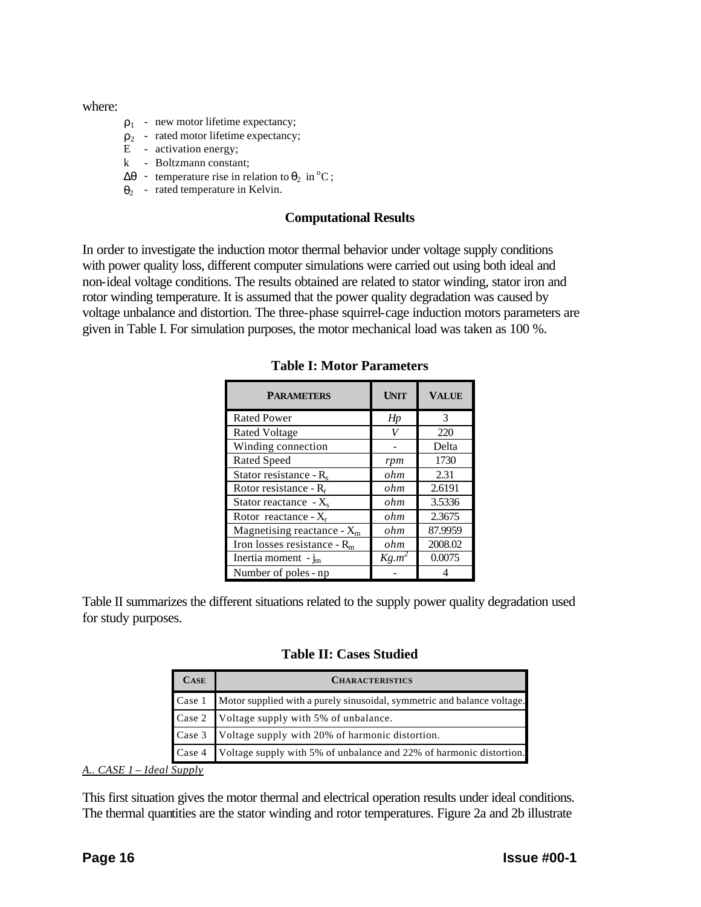where:

- $\rho_1$  new motor lifetime expectancy;
- $\rho_2$  rated motor lifetime expectancy;
- E activation energy;
- k Boltzmann constant;
- $\Delta\theta$  temperature rise in relation to  $\theta_2$  in <sup>o</sup>C;
- $\theta_2$  rated temperature in Kelvin.

# **Computational Results**

In order to investigate the induction motor thermal behavior under voltage supply conditions with power quality loss, different computer simulations were carried out using both ideal and non-ideal voltage conditions. The results obtained are related to stator winding, stator iron and rotor winding temperature. It is assumed that the power quality degradation was caused by voltage unbalance and distortion. The three-phase squirrel-cage induction motors parameters are given in Table I. For simulation purposes, the motor mechanical load was taken as 100 %.

| <b>PARAMETERS</b>              | <b>UNIT</b> | <b>VALUE</b> |  |  |
|--------------------------------|-------------|--------------|--|--|
| <b>Rated Power</b>             | Hp          | 3            |  |  |
| <b>Rated Voltage</b>           | V           | 220          |  |  |
| Winding connection             | Delta       |              |  |  |
| <b>Rated Speed</b>             | rpm         | 1730         |  |  |
| Stator resistance - $R_s$      | ohm         | 2.31         |  |  |
| Rotor resistance - $R_r$       | ohm         | 2.6191       |  |  |
| Stator reactance $-X_{s}$      | ohm         | 3.5336       |  |  |
| Rotor reactance - $X_r$        | ohm         | 2.3675       |  |  |
| Magnetising reactance - $X_m$  | ohm         | 87.9959      |  |  |
| Iron losses resistance - $R_m$ | ohm         | 2008.02      |  |  |
| Inertia moment - $j_m$         | $Kg.m^2$    | 0.0075       |  |  |
| Number of poles - np           |             |              |  |  |

**Table I: Motor Parameters**

Table II summarizes the different situations related to the supply power quality degradation used for study purposes.

**Table II: Cases Studied**

|        | <b>CASE</b> | <b>CHARACTERISTICS</b>                                                  |
|--------|-------------|-------------------------------------------------------------------------|
| Case 1 |             | Motor supplied with a purely sinusoidal, symmetric and balance voltage. |
|        |             | Case 2 Voltage supply with 5% of unbalance.                             |
|        |             | Case 3 Voltage supply with 20% of harmonic distortion.                  |
| Case 4 |             | Voltage supply with 5% of unbalance and 22% of harmonic distortion.     |

*A.. CASE 1 – Ideal Supply*

This first situation gives the motor thermal and electrical operation results under ideal conditions. The thermal quantities are the stator winding and rotor temperatures. Figure 2a and 2b illustrate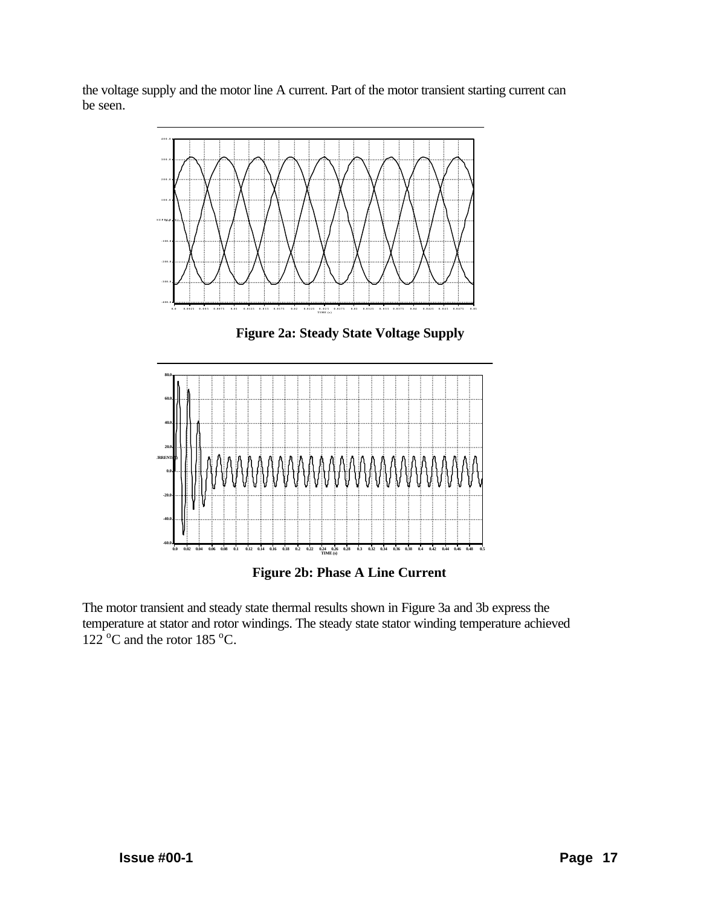the voltage supply and the motor line A current. Part of the motor transient starting current can be seen.



**Figure 2a: Steady State Voltage Supply**



**Figure 2b: Phase A Line Current**

The motor transient and steady state thermal results shown in Figure 3a and 3b express the temperature at stator and rotor windings. The steady state stator winding temperature achieved  $122^{\circ}$ C and the rotor 185 °C.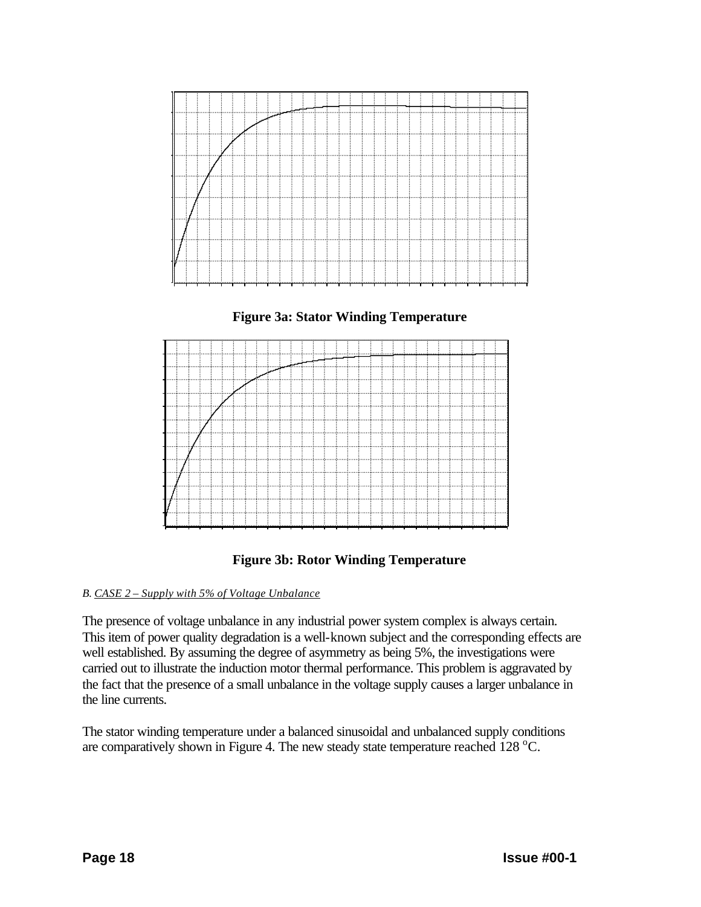







# *B. CASE 2 – Supply with 5% of Voltage Unbalance*

The presence of voltage unbalance in any industrial power system complex is always certain. This item of power quality degradation is a well-known subject and the corresponding effects are well established. By assuming the degree of asymmetry as being 5%, the investigations were carried out to illustrate the induction motor thermal performance. This problem is aggravated by the fact that the presence of a small unbalance in the voltage supply causes a larger unbalance in the line currents.

The stator winding temperature under a balanced sinusoidal and unbalanced supply conditions are comparatively shown in Figure 4. The new steady state temperature reached  $128 \degree C$ .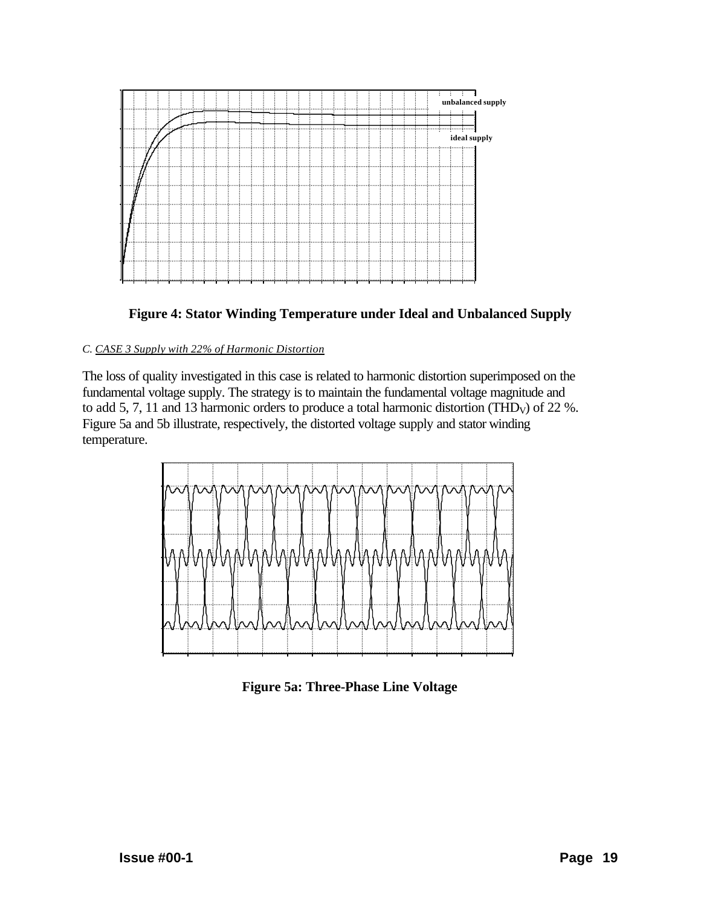



# *C. CASE 3 Supply with 22% of Harmonic Distortion*

The loss of quality investigated in this case is related to harmonic distortion superimposed on the fundamental voltage supply. The strategy is to maintain the fundamental voltage magnitude and to add 5, 7, 11 and 13 harmonic orders to produce a total harmonic distortion (THD<sub>V</sub>) of 22 %. Figure 5a and 5b illustrate, respectively, the distorted voltage supply and stator winding temperature.



**Figure 5a: Three-Phase Line Voltage**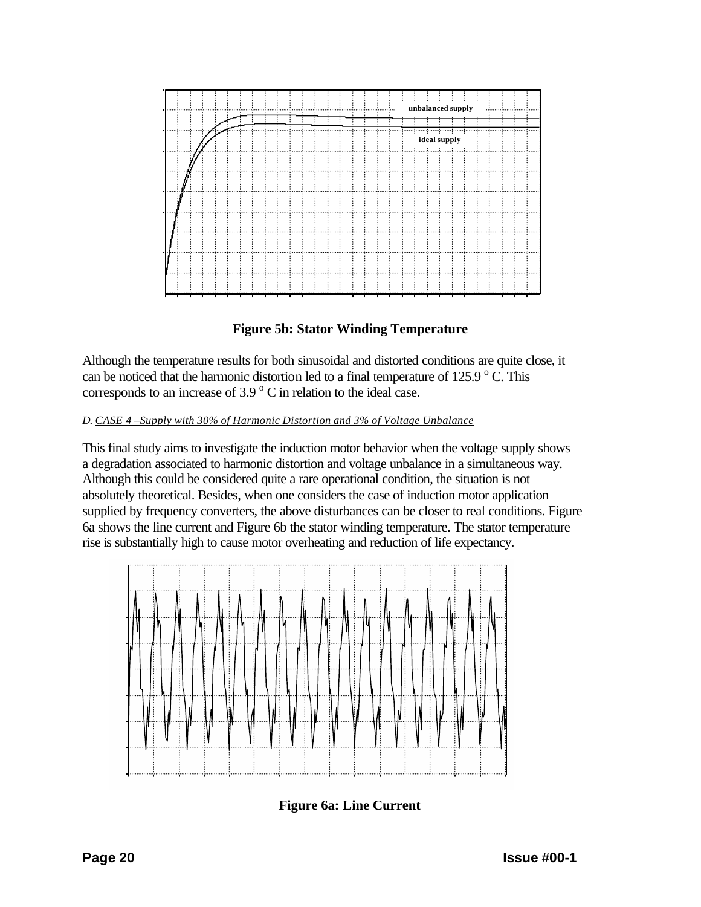

**Figure 5b: Stator Winding Temperature**

Although the temperature results for both sinusoidal and distorted conditions are quite close, it can be noticed that the harmonic distortion led to a final temperature of  $125.9\,^{\circ}$  C. This corresponds to an increase of  $3.9\,^{\circ}$  C in relation to the ideal case.

# *D. CASE 4 –Supply with 30% of Harmonic Distortion and 3% of Voltage Unbalance*

This final study aims to investigate the induction motor behavior when the voltage supply shows a degradation associated to harmonic distortion and voltage unbalance in a simultaneous way. Although this could be considered quite a rare operational condition, the situation is not absolutely theoretical. Besides, when one considers the case of induction motor application supplied by frequency converters, the above disturbances can be closer to real conditions. Figure 6a shows the line current and Figure 6b the stator winding temperature. The stator temperature rise is substantially high to cause motor overheating and reduction of life expectancy.



**Figure 6a: Line Current**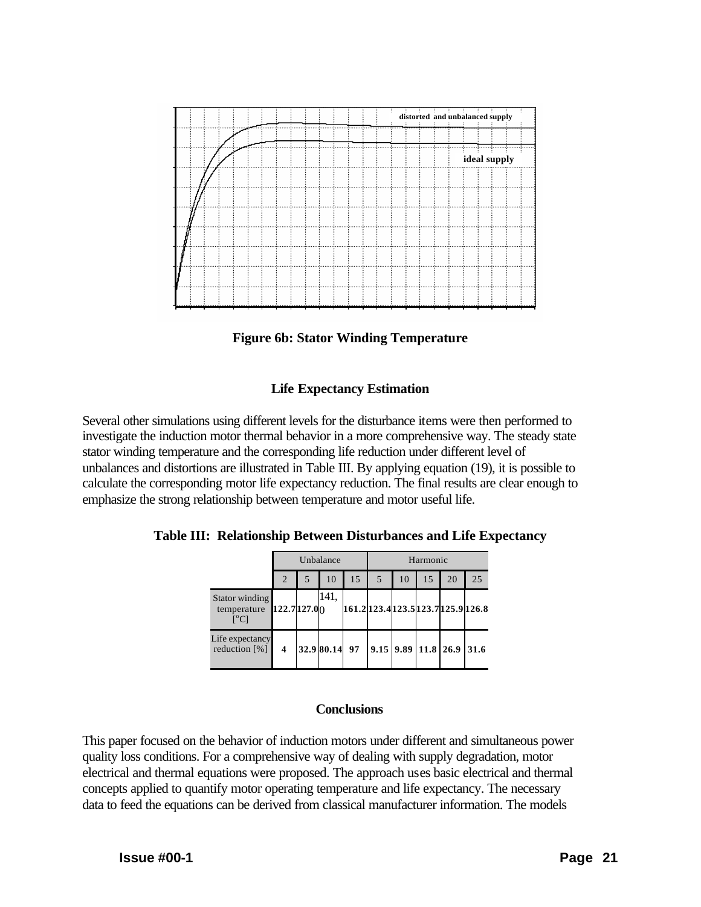

**Figure 6b: Stator Winding Temperature**

# **Life Expectancy Estimation**

Several other simulations using different levels for the disturbance items were then performed to investigate the induction motor thermal behavior in a more comprehensive way. The steady state stator winding temperature and the corresponding life reduction under different level of unbalances and distortions are illustrated in Table III. By applying equation (19), it is possible to calculate the corresponding motor life expectancy reduction. The final results are clear enough to emphasize the strong relationship between temperature and motor useful life.

**Table III: Relationship Between Disturbances and Life Expectancy**

|                                    | Unbalance               |  |               | Harmonic |                         |    |    |                                     |      |
|------------------------------------|-------------------------|--|---------------|----------|-------------------------|----|----|-------------------------------------|------|
|                                    | 2                       |  | 10            | 15       |                         | 10 | 15 | 20                                  | 25   |
| Stator winding<br>temperature      | 122.7 127.00            |  | 141.          |          |                         |    |    | 161.2 123.4 123.5 123.7 125.9 126.8 |      |
| Life expectancy<br>reduction $[%]$ | $\overline{\mathbf{4}}$ |  | 32.9 80.14 97 |          | $9.15$ $9.89$ 11.8 26.9 |    |    |                                     | 31.6 |

# **Conclusions**

This paper focused on the behavior of induction motors under different and simultaneous power quality loss conditions. For a comprehensive way of dealing with supply degradation, motor electrical and thermal equations were proposed. The approach uses basic electrical and thermal concepts applied to quantify motor operating temperature and life expectancy. The necessary data to feed the equations can be derived from classical manufacturer information. The models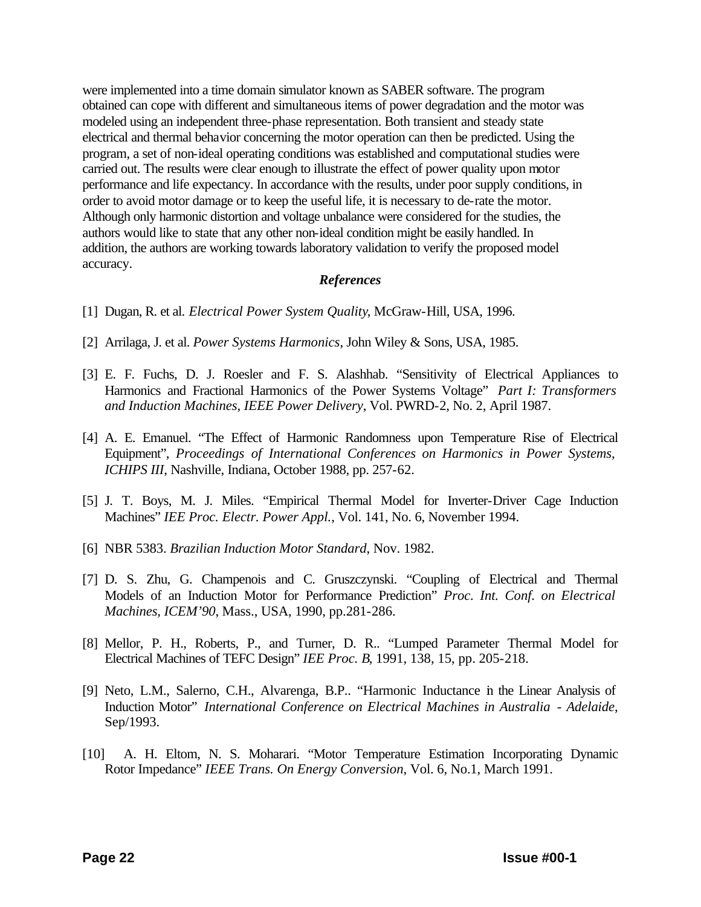were implemented into a time domain simulator known as SABER software. The program obtained can cope with different and simultaneous items of power degradation and the motor was modeled using an independent three-phase representation. Both transient and steady state electrical and thermal behavior concerning the motor operation can then be predicted. Using the program, a set of non-ideal operating conditions was established and computational studies were carried out. The results were clear enough to illustrate the effect of power quality upon motor performance and life expectancy. In accordance with the results, under poor supply conditions, in order to avoid motor damage or to keep the useful life, it is necessary to de-rate the motor. Although only harmonic distortion and voltage unbalance were considered for the studies, the authors would like to state that any other non-ideal condition might be easily handled. In addition, the authors are working towards laboratory validation to verify the proposed model accuracy.

# *References*

- [1] Dugan, R. et al. *Electrical Power System Quality*, McGraw-Hill, USA, 1996.
- [2] Arrilaga, J. et al. *Power Systems Harmonics*, John Wiley & Sons, USA, 1985.
- [3] E. F. Fuchs, D. J. Roesler and F. S. Alashhab. "Sensitivity of Electrical Appliances to Harmonics and Fractional Harmonics of the Power Systems Voltage" *Part I: Transformers and Induction Machines, IEEE Power Delivery*, Vol. PWRD-2, No. 2, April 1987.
- [4] A. E. Emanuel. "The Effect of Harmonic Randomness upon Temperature Rise of Electrical Equipment", *Proceedings of International Conferences on Harmonics in Power Systems, ICHIPS III*, Nashville, Indiana, October 1988, pp. 257-62.
- [5] J. T. Boys, M. J. Miles. "Empirical Thermal Model for Inverter-Driver Cage Induction Machines" *IEE Proc. Electr. Power Appl.*, Vol. 141, No. 6, November 1994.
- [6] NBR 5383. *Brazilian Induction Motor Standard*, Nov. 1982.
- [7] D. S. Zhu, G. Champenois and C. Gruszczynski. "Coupling of Electrical and Thermal Models of an Induction Motor for Performance Prediction" *Proc. Int. Conf. on Electrical Machines, ICEM'90*, Mass., USA, 1990, pp.281-286.
- [8] Mellor, P. H., Roberts, P., and Turner, D. R.. "Lumped Parameter Thermal Model for Electrical Machines of TEFC Design" *IEE Proc. B*, 1991, 138, 15, pp. 205-218.
- [9] Neto, L.M., Salerno, C.H., Alvarenga, B.P.. "Harmonic Inductance in the Linear Analysis of Induction Motor" *International Conference on Electrical Machines in Australia - Adelaide*, Sep/1993.
- [10] A. H. Eltom, N. S. Moharari. "Motor Temperature Estimation Incorporating Dynamic Rotor Impedance" *IEEE Trans. On Energy Conversion*, Vol. 6, No.1, March 1991.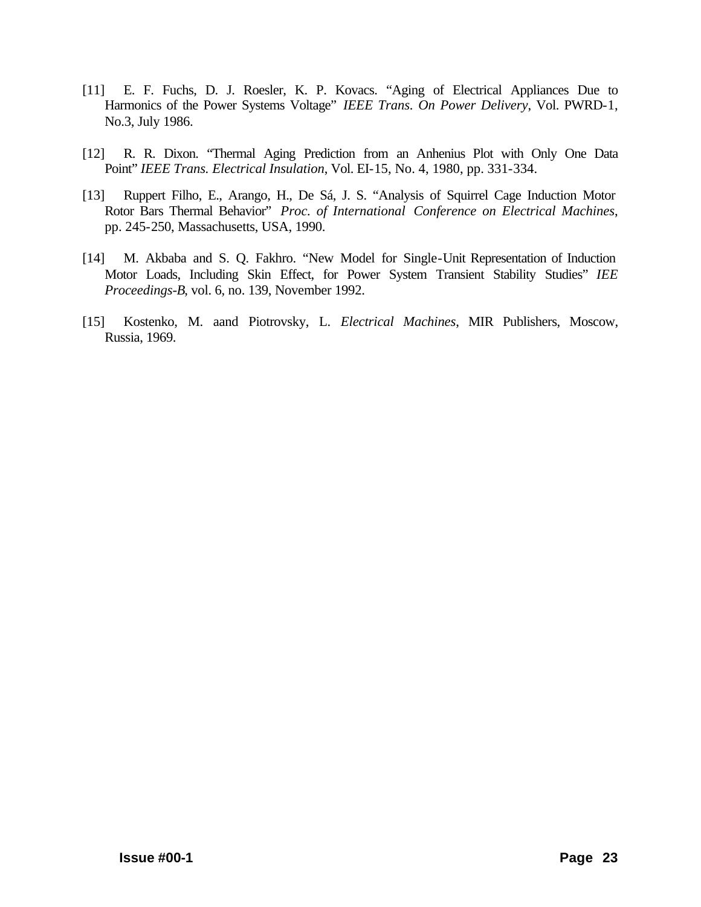- [11] E. F. Fuchs, D. J. Roesler, K. P. Kovacs. "Aging of Electrical Appliances Due to Harmonics of the Power Systems Voltage" *IEEE Trans. On Power Delivery*, Vol. PWRD-1, No.3, July 1986.
- [12] R. R. Dixon. "Thermal Aging Prediction from an Anhenius Plot with Only One Data Point" *IEEE Trans. Electrical Insulation*, Vol. EI-15, No. 4, 1980, pp. 331-334.
- [13] Ruppert Filho, E., Arango, H., De Sá, J. S. "Analysis of Squirrel Cage Induction Motor Rotor Bars Thermal Behavior" *Proc. of International Conference on Electrical Machines*, pp. 245-250, Massachusetts, USA, 1990.
- [14] M. Akbaba and S. Q. Fakhro. "New Model for Single-Unit Representation of Induction Motor Loads, Including Skin Effect, for Power System Transient Stability Studies" *IEE Proceedings-B*, vol. 6, no. 139, November 1992.
- [15] Kostenko, M. aand Piotrovsky, L. *Electrical Machines*, MIR Publishers, Moscow, Russia, 1969.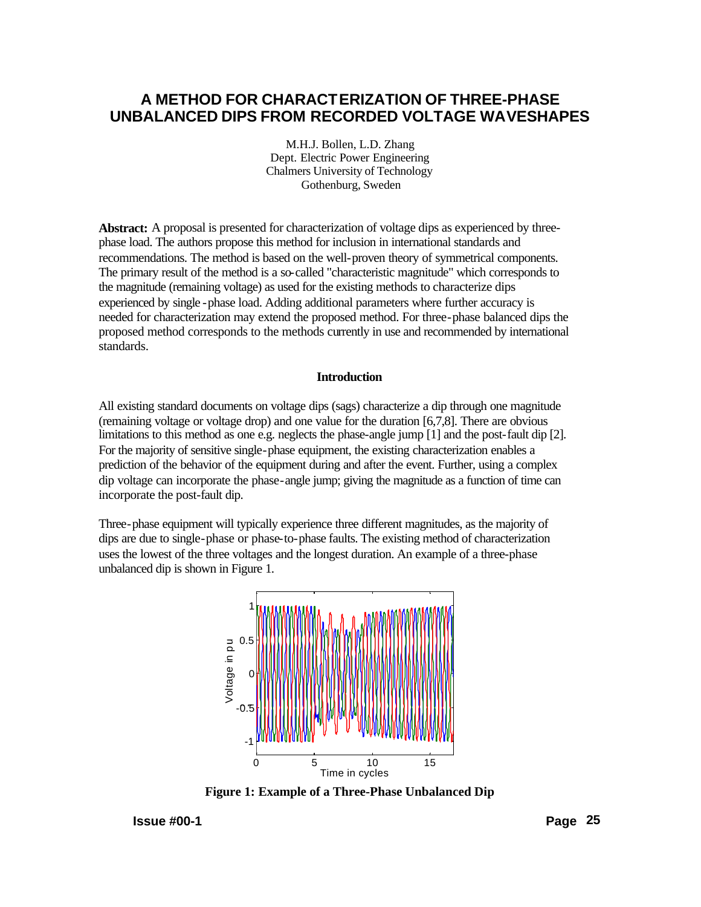# **A METHOD FOR CHARACTERIZATION OF THREE-PHASE UNBALANCED DIPS FROM RECORDED VOLTAGE WAVESHAPES**

M.H.J. Bollen, L.D. Zhang Dept. Electric Power Engineering Chalmers University of Technology Gothenburg, Sweden

**Abstract:** A proposal is presented for characterization of voltage dips as experienced by threephase load. The authors propose this method for inclusion in international standards and recommendations. The method is based on the well-proven theory of symmetrical components. The primary result of the method is a so-called "characteristic magnitude" which corresponds to the magnitude (remaining voltage) as used for the existing methods to characterize dips experienced by single -phase load. Adding additional parameters where further accuracy is needed for characterization may extend the proposed method. For three-phase balanced dips the proposed method corresponds to the methods currently in use and recommended by international standards.

#### **Introduction**

All existing standard documents on voltage dips (sags) characterize a dip through one magnitude (remaining voltage or voltage drop) and one value for the duration [6,7,8]. There are obvious limitations to this method as one e.g. neglects the phase-angle jump [1] and the post-fault dip [2]. For the majority of sensitive single-phase equipment, the existing characterization enables a prediction of the behavior of the equipment during and after the event. Further, using a complex dip voltage can incorporate the phase-angle jump; giving the magnitude as a function of time can incorporate the post-fault dip.

Three-phase equipment will typically experience three different magnitudes, as the majority of dips are due to single-phase or phase-to-phase faults. The existing method of characterization uses the lowest of the three voltages and the longest duration. An example of a three-phase unbalanced dip is shown in Figure 1.



**Figure 1: Example of a Three-Phase Unbalanced Dip**

**Issue #00-1 Page 25**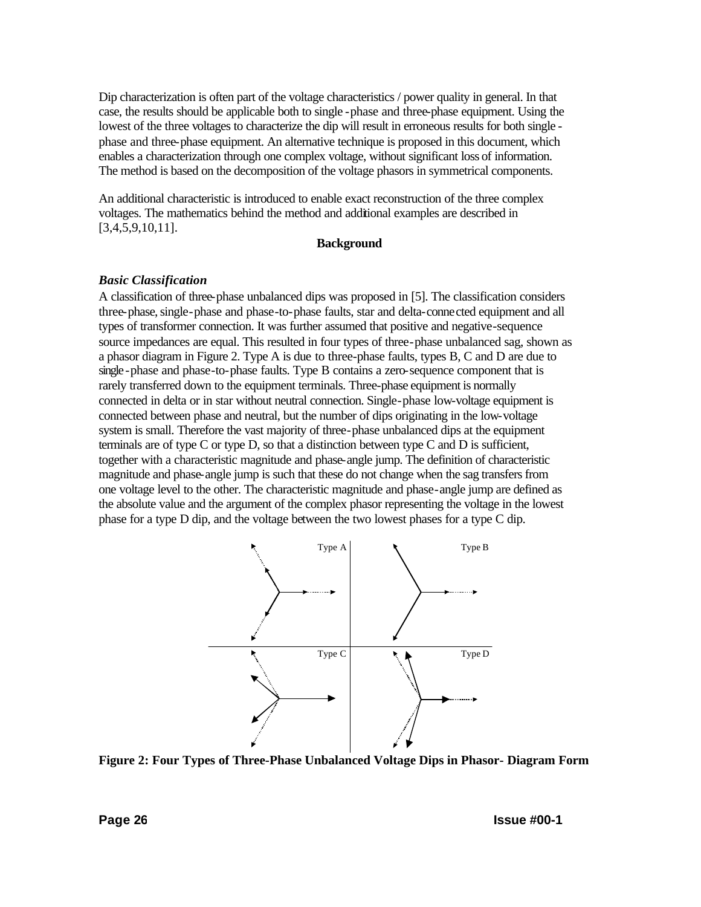Dip characterization is often part of the voltage characteristics / power quality in general. In that case, the results should be applicable both to single -phase and three-phase equipment. Using the lowest of the three voltages to characterize the dip will result in erroneous results for both single phase and three-phase equipment. An alternative technique is proposed in this document, which enables a characterization through one complex voltage, without significant loss of information. The method is based on the decomposition of the voltage phasors in symmetrical components.

An additional characteristic is introduced to enable exact reconstruction of the three complex voltages. The mathematics behind the method and additional examples are described in [3,4,5,9,10,11].

#### **Background**

#### *Basic Classification*

A classification of three-phase unbalanced dips was proposed in [5]. The classification considers three-phase, single-phase and phase-to-phase faults, star and delta-connected equipment and all types of transformer connection. It was further assumed that positive and negative-sequence source impedances are equal. This resulted in four types of three-phase unbalanced sag, shown as a phasor diagram in Figure 2. Type A is due to three-phase faults, types B, C and D are due to single -phase and phase-to-phase faults. Type B contains a zero-sequence component that is rarely transferred down to the equipment terminals. Three-phase equipment is normally connected in delta or in star without neutral connection. Single-phase low-voltage equipment is connected between phase and neutral, but the number of dips originating in the low-voltage system is small. Therefore the vast majority of three-phase unbalanced dips at the equipment terminals are of type C or type D, so that a distinction between type C and D is sufficient, together with a characteristic magnitude and phase-angle jump. The definition of characteristic magnitude and phase-angle jump is such that these do not change when the sag transfers from one voltage level to the other. The characteristic magnitude and phase-angle jump are defined as the absolute value and the argument of the complex phasor representing the voltage in the lowest phase for a type D dip, and the voltage between the two lowest phases for a type C dip.



**Figure 2: Four Types of Three-Phase Unbalanced Voltage Dips in Phasor- Diagram Form**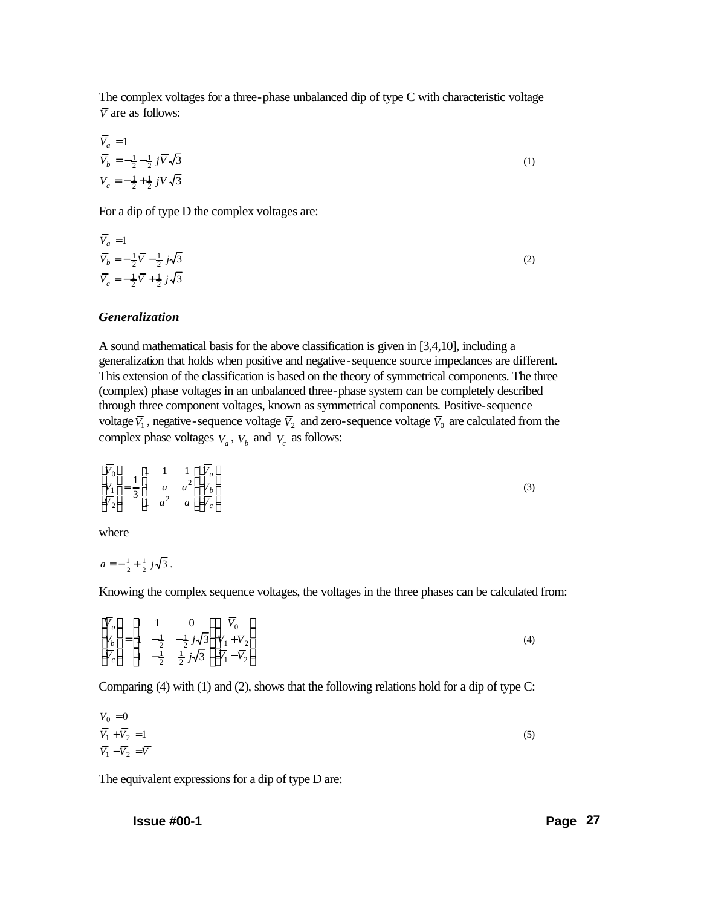The complex voltages for a three-phase unbalanced dip of type C with characteristic voltage  $\overline{V}$  are as follows:

$$
\overline{V}_a = 1
$$
\n
$$
\overline{V}_b = -\frac{1}{2} - \frac{1}{2} j \overline{V} \sqrt{3}
$$
\n
$$
\overline{V}_c = -\frac{1}{2} + \frac{1}{2} j \overline{V} \sqrt{3}
$$
\n(1)

For a dip of type D the complex voltages are:

$$
\overline{V}_a = 1
$$
\n
$$
\overline{V}_b = -\frac{1}{2}\overline{V} - \frac{1}{2}j\sqrt{3}
$$
\n
$$
\overline{V}_c = -\frac{1}{2}\overline{V} + \frac{1}{2}j\sqrt{3}
$$
\n(2)

## *Generalization*

A sound mathematical basis for the above classification is given in [3,4,10], including a generalization that holds when positive and negative-sequence source impedances are different. This extension of the classification is based on the theory of symmetrical components. The three (complex) phase voltages in an unbalanced three-phase system can be completely described through three component voltages, known as symmetrical components. Positive-sequence voltage  $\bar{V}_1$ , negative-sequence voltage  $\bar{V}_2$  and zero-sequence voltage  $\bar{V}_0$  are calculated from the complex phase voltages  $\overline{V}_a$ ,  $\overline{V}_b$  and  $\overline{V}_c$  as follows:

$$
\begin{bmatrix}\n\overline{V}_0 \\
\overline{V}_1 \\
\overline{V}_2\n\end{bmatrix} = \frac{1}{3} \begin{bmatrix}\n1 & 1 & 1 \\
1 & a & a^2 \\
1 & a^2 & a\n\end{bmatrix} \begin{bmatrix}\n\overline{V}_a \\
\overline{V}_b \\
\overline{V}_c\n\end{bmatrix}
$$
\n(3)

where

 $a = -\frac{1}{2} + \frac{1}{2} j\sqrt{3}$ .

Knowing the complex sequence voltages, the voltages in the three phases can be calculated from:

$$
\begin{bmatrix}\n\overline{V}_a \\
\overline{V}_b \\
\overline{V}_c\n\end{bmatrix} = \begin{bmatrix}\n1 & 1 & 0 \\
1 & -\frac{1}{2} & -\frac{1}{2}j\sqrt{3} \\
1 & -\frac{1}{2} & \frac{1}{2}j\sqrt{3}\n\end{bmatrix} \begin{bmatrix}\n\overline{V}_0 \\
\overline{V}_1 + \overline{V}_2 \\
\overline{V}_1 - \overline{V}_2\n\end{bmatrix}
$$
\n(4)

Comparing (4) with (1) and (2), shows that the following relations hold for a dip of type C:

$$
V_0 = 0
$$
  
\n
$$
\overline{V_1} + \overline{V_2} = 1
$$
  
\n
$$
\overline{V_1} - \overline{V_2} = \overline{V}
$$
\n(5)

The equivalent expressions for a dip of type D are:

**Issue #00-1 Page 27**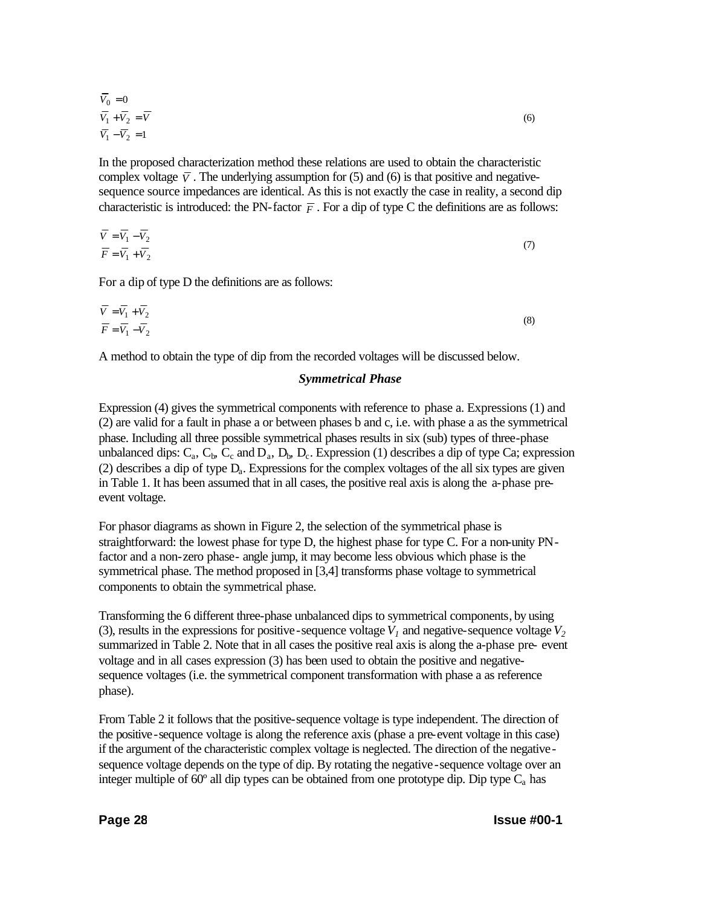$$
\overline{V}_0 = 0
$$
  
\n
$$
\overline{V}_1 + \overline{V}_2 = \overline{V}
$$
  
\n
$$
\overline{V}_1 - \overline{V}_2 = 1
$$
\n(6)

In the proposed characterization method these relations are used to obtain the characteristic complex voltage  $\overline{V}$ . The underlying assumption for (5) and (6) is that positive and negativesequence source impedances are identical. As this is not exactly the case in reality, a second dip characteristic is introduced: the PN-factor  $\overline{F}$ . For a dip of type C the definitions are as follows:

$$
\overline{V} = \overline{V_1} - \overline{V_2} \n\overline{F} = \overline{V_1} + \overline{V_2}
$$
\n(7)

For a dip of type D the definitions are as follows:

$$
\overline{V} = \overline{V_1} + \overline{V_2} \n\overline{F} = \overline{V_1} - \overline{V_2}
$$
\n(8)

A method to obtain the type of dip from the recorded voltages will be discussed below.

## *Symmetrical Phase*

Expression (4) gives the symmetrical components with reference to phase a. Expressions (1) and (2) are valid for a fault in phase a or between phases b and c, i.e. with phase a as the symmetrical phase. Including all three possible symmetrical phases results in six (sub) types of three-phase unbalanced dips:  $C_a$ ,  $C_b$ ,  $C_c$  and  $D_a$ ,  $D_b$ ,  $D_c$ . Expression (1) describes a dip of type Ca; expression (2) describes a dip of type  $D_a$ . Expressions for the complex voltages of the all six types are given in Table 1. It has been assumed that in all cases, the positive real axis is along the a-phase preevent voltage.

For phasor diagrams as shown in Figure 2, the selection of the symmetrical phase is straightforward: the lowest phase for type D, the highest phase for type C. For a non-unity PNfactor and a non-zero phase- angle jump, it may become less obvious which phase is the symmetrical phase. The method proposed in [3,4] transforms phase voltage to symmetrical components to obtain the symmetrical phase.

Transforming the 6 different three-phase unbalanced dips to symmetrical components, by using (3), results in the expressions for positive-sequence voltage  $V<sub>1</sub>$  and negative-sequence voltage  $V<sub>2</sub>$ summarized in Table 2. Note that in all cases the positive real axis is along the a-phase pre- event voltage and in all cases expression (3) has been used to obtain the positive and negativesequence voltages (i.e. the symmetrical component transformation with phase a as reference phase).

From Table 2 it follows that the positive-sequence voltage is type independent. The direction of the positive-sequence voltage is along the reference axis (phase a pre-event voltage in this case) if the argument of the characteristic complex voltage is neglected. The direction of the negativesequence voltage depends on the type of dip. By rotating the negative-sequence voltage over an integer multiple of 60 $\degree$  all dip types can be obtained from one prototype dip. Dip type  $C_a$  has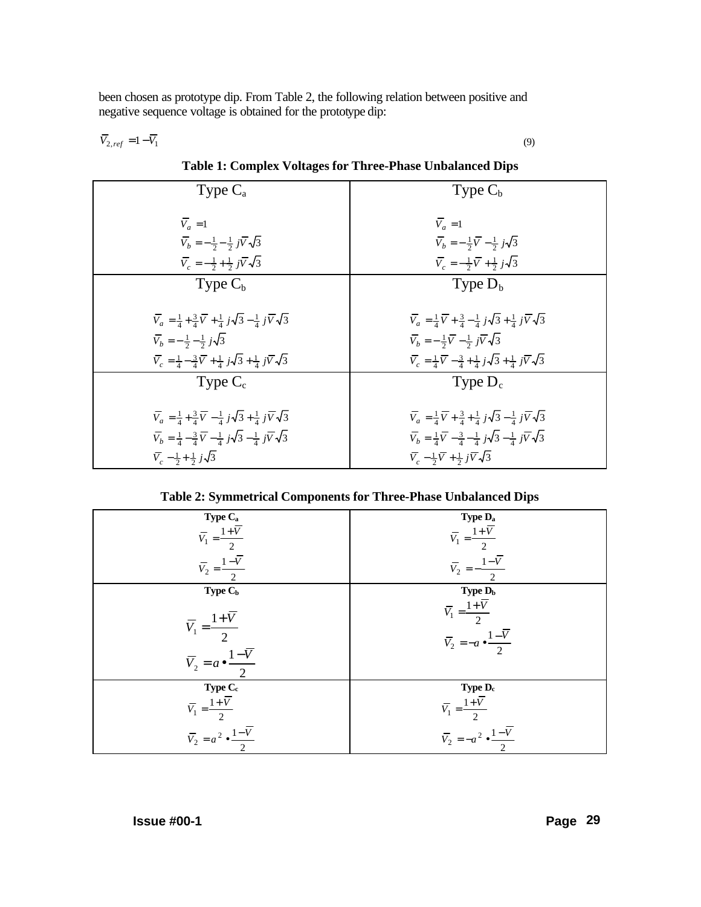been chosen as prototype dip. From Table 2, the following relation between positive and negative sequence voltage is obtained for the prototype dip:

$$
\overline{V}_{2,ref} = 1 - \overline{V}_1 \tag{9}
$$

Type  $C_a$  $\overline{V}_c = -\frac{1}{2} + \frac{1}{2} j \overline{V} \sqrt{3}$  $\overline{V}_b = -\frac{1}{2} - \frac{1}{2} j \overline{V} \sqrt{3}$  $V_a = 1$ Type  $C_{\rm h}$  $\overline{V}_c = -\frac{1}{2}\overline{V} + \frac{1}{2}j\sqrt{3}$  $\overline{V}_b = -\frac{1}{2}\overline{V} - \frac{1}{2}j\sqrt{3}$  $V_a = 1$ Type  $C_{b}$  $\overline{V}_c = \frac{1}{4} - \frac{3}{4}\overline{V} + \frac{1}{4}j\sqrt{3} + \frac{1}{4}j\overline{V}\sqrt{3}$  $\overline{V}_b = -\frac{1}{2} - \frac{1}{2} j\sqrt{3}$  $\overline{V}_a = \frac{1}{4} + \frac{3}{4}\overline{V} + \frac{1}{4}j\sqrt{3} - \frac{1}{4}j\overline{V}\sqrt{3}$ Type  $D_{b}$  $\overline{V}_c = \frac{1}{4}\overline{V} - \frac{3}{4} + \frac{1}{4}j\sqrt{3} + \frac{1}{4}j\overline{V}\sqrt{3}$  $\overline{V}_b = -\frac{1}{2}\overline{V} - \frac{1}{2}j\overline{V}\sqrt{3}$  $\overline{V}_a = \frac{1}{4}\overline{V} + \frac{3}{4} - \frac{1}{4}j\sqrt{3} + \frac{1}{4}j\overline{V}\sqrt{3}$ Type  $C_c$  $\overline{V}_c - \frac{1}{2} + \frac{1}{2} j\sqrt{3}$  $\overline{V}_b = \frac{1}{4} - \frac{3}{4} \overline{V} - \frac{1}{4} j \sqrt{3} - \frac{1}{4} j \overline{V} \sqrt{3}$  $\overline{V}_a = \frac{1}{4} + \frac{3}{4}\overline{V} - \frac{1}{4}j\sqrt{3} + \frac{1}{4}j\overline{V}\sqrt{3}$ Type  $D_c$  $\overline{V}_c - \frac{1}{2}\overline{V} + \frac{1}{2}j\overline{V}\sqrt{3}$  $\overline{V}_b = \frac{1}{4}\overline{V} - \frac{3}{4} - \frac{1}{4}j\sqrt{3} - \frac{1}{4}j\overline{V}\sqrt{3}$  $\overline{V}_a = \frac{1}{4}\overline{V} + \frac{3}{4} + \frac{1}{4}j\sqrt{3} - \frac{1}{4}j\overline{V}\sqrt{3}$ 

**Table 1: Complex Voltages for Three-Phase Unbalanced Dips**

**Table 2: Symmetrical Components for Three-Phase Unbalanced Dips**

| Type $\rm C_a$                                                                                       | Type D <sub>a</sub>                                                                                 |  |  |
|------------------------------------------------------------------------------------------------------|-----------------------------------------------------------------------------------------------------|--|--|
| $\overline{V}_1 = \frac{1+\overline{V}}{2}$                                                          | $\overline{V}_1 = \frac{1+\overline{V}}{2}$                                                         |  |  |
| $\overline{V}_2 = \frac{1-\overline{V}}{2}$                                                          | $\overline{V}_2 = -\frac{1-\overline{V}}{2}$                                                        |  |  |
| Type C <sub>b</sub>                                                                                  | Type D <sub>b</sub>                                                                                 |  |  |
| $\overline{V}_1 = \frac{1+\overline{V}}{2}$<br>$\overline{V}_2 = a \bullet \frac{1-\overline{V}}{2}$ | $\overline{V}_1 = \frac{1+\overline{V}}{2}$<br>$\overline{V}_2 = -a \cdot \frac{1-\overline{V}}{2}$ |  |  |
| Type $C_{\rm c}$                                                                                     | Type D <sub>c</sub>                                                                                 |  |  |
| $\overline{V}_1 = \frac{1+\overline{V}}{2}$                                                          | $\overline{V}_1 = \frac{1+\overline{V}}{2}$                                                         |  |  |
| $\overline{V}_2 = a^2 \cdot \frac{1 - \overline{V}}{2}$                                              | $\overline{V}_2 = -a^2 \cdot \frac{1-\overline{V}}{\overline{S}}$                                   |  |  |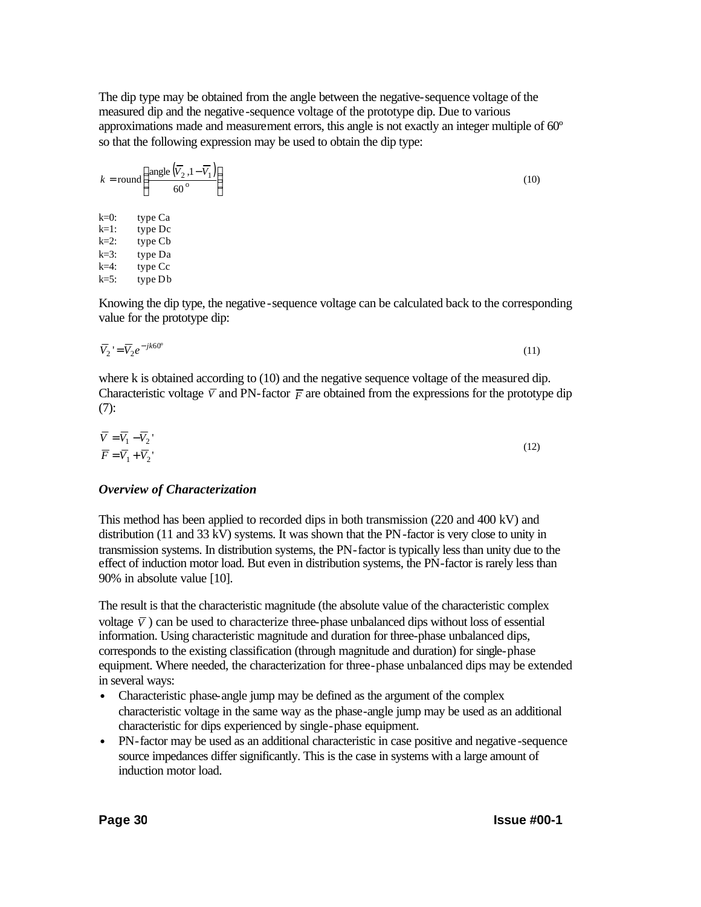The dip type may be obtained from the angle between the negative-sequence voltage of the measured dip and the negative-sequence voltage of the prototype dip. Due to various approximations made and measurement errors, this angle is not exactly an integer multiple of 60º so that the following expression may be used to obtain the dip type:

$$
k = round \left( \frac{angle (\overline{V}_2, 1 - \overline{V}_1)}{60^{\circ}} \right)
$$
  
\nk=0: type Ca  
\nk=1: type Dc  
\nk=2: type Cb  
\nk=3: type Da  
\nk=4: type Cc  
\nk=5: type Db

Knowing the dip type, the negative-sequence voltage can be calculated back to the corresponding value for the prototype dip:

$$
\overline{V}_2 = \overline{V}_2 e^{-jk60^\circ} \tag{11}
$$

where k is obtained according to (10) and the negative sequence voltage of the measured dip. Characteristic voltage  $\overline{V}$  and PN-factor  $\overline{F}$  are obtained from the expressions for the prototype dip (7):

$$
\overline{V} = \overline{V}_1 - \overline{V}_2
$$
\n
$$
\overline{F} = \overline{V}_1 + \overline{V}_2
$$
\n(12)

## *Overview of Characterization*

This method has been applied to recorded dips in both transmission (220 and 400 kV) and distribution (11 and 33 kV) systems. It was shown that the PN-factor is very close to unity in transmission systems. In distribution systems, the PN-factor is typically less than unity due to the effect of induction motor load. But even in distribution systems, the PN-factor is rarely less than 90% in absolute value [10].

The result is that the characteristic magnitude (the absolute value of the characteristic complex voltage  $\bar{V}$ ) can be used to characterize three-phase unbalanced dips without loss of essential information. Using characteristic magnitude and duration for three-phase unbalanced dips, corresponds to the existing classification (through magnitude and duration) for single-phase equipment. Where needed, the characterization for three-phase unbalanced dips may be extended in several ways:

- Characteristic phase-angle jump may be defined as the argument of the complex characteristic voltage in the same way as the phase-angle jump may be used as an additional characteristic for dips experienced by single-phase equipment.
- PN-factor may be used as an additional characteristic in case positive and negative-sequence source impedances differ significantly. This is the case in systems with a large amount of induction motor load.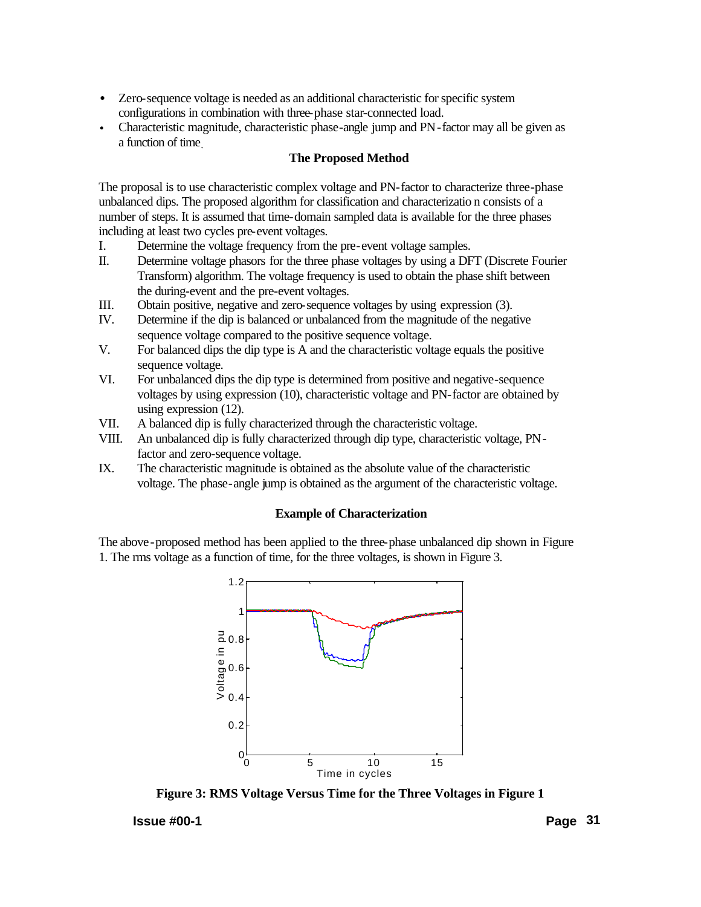- Zero-sequence voltage is needed as an additional characteristic for specific system configurations in combination with three-phase star-connected load.
- Characteristic magnitude, characteristic phase-angle jump and PN-factor may all be given as a function of time.

## **The Proposed Method**

The proposal is to use characteristic complex voltage and PN-factor to characterize three-phase unbalanced dips. The proposed algorithm for classification and characterizatio n consists of a number of steps. It is assumed that time-domain sampled data is available for the three phases including at least two cycles pre-event voltages.

- I. Determine the voltage frequency from the pre-event voltage samples.
- II. Determine voltage phasors for the three phase voltages by using a DFT (Discrete Fourier Transform) algorithm. The voltage frequency is used to obtain the phase shift between the during-event and the pre-event voltages.
- III. Obtain positive, negative and zero-sequence voltages by using expression (3).
- IV. Determine if the dip is balanced or unbalanced from the magnitude of the negative sequence voltage compared to the positive sequence voltage.
- V. For balanced dips the dip type is A and the characteristic voltage equals the positive sequence voltage.
- VI. For unbalanced dips the dip type is determined from positive and negative-sequence voltages by using expression (10), characteristic voltage and PN-factor are obtained by using expression (12).
- VII. A balanced dip is fully characterized through the characteristic voltage.
- VIII. An unbalanced dip is fully characterized through dip type, characteristic voltage, PNfactor and zero-sequence voltage.
- IX. The characteristic magnitude is obtained as the absolute value of the characteristic voltage. The phase-angle jump is obtained as the argument of the characteristic voltage.

## **Example of Characterization**

The above-proposed method has been applied to the three-phase unbalanced dip shown in Figure 1. The rms voltage as a function of time, for the three voltages, is shown in Figure 3.



**Figure 3: RMS Voltage Versus Time for the Three Voltages in Figure 1**

## **Issue #00-1 Page 31**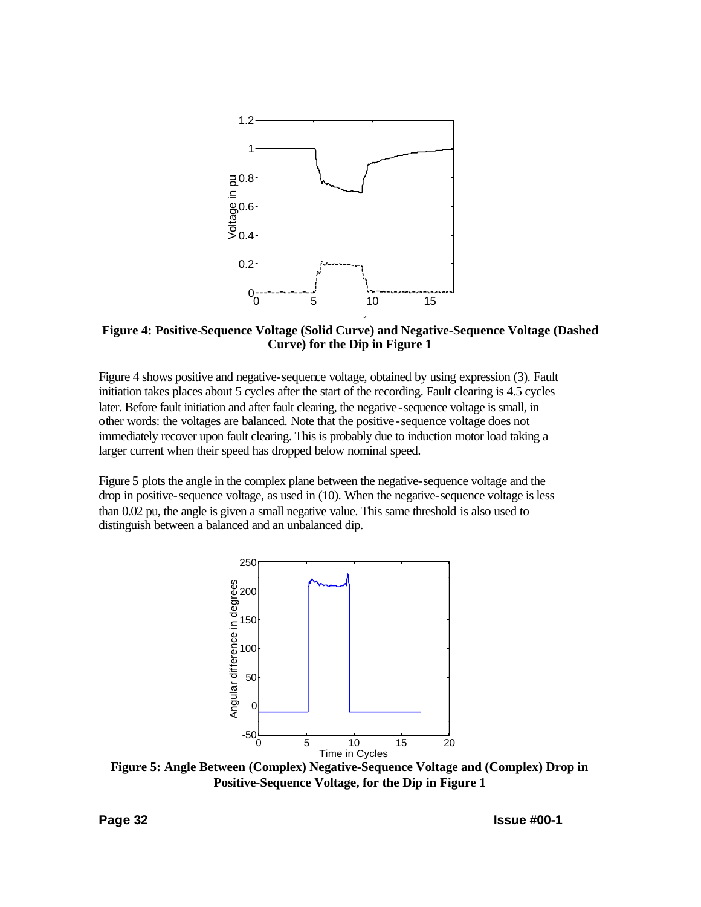

**Figure 4: Positive-Sequence Voltage (Solid Curve) and Negative-Sequence Voltage (Dashed Curve) for the Dip in Figure 1**

Figure 4 shows positive and negative-sequence voltage, obtained by using expression (3). Fault initiation takes places about 5 cycles after the start of the recording. Fault clearing is 4.5 cycles later. Before fault initiation and after fault clearing, the negative-sequence voltage is small, in other words: the voltages are balanced. Note that the positive-sequence voltage does not immediately recover upon fault clearing. This is probably due to induction motor load taking a larger current when their speed has dropped below nominal speed.

Figure 5 plots the angle in the complex plane between the negative-sequence voltage and the drop in positive-sequence voltage, as used in (10). When the negative-sequence voltage is less than 0.02 pu, the angle is given a small negative value. This same threshold is also used to distinguish between a balanced and an unbalanced dip.



**Figure 5: Angle Between (Complex) Negative-Sequence Voltage and (Complex) Drop in Positive-Sequence Voltage, for the Dip in Figure 1**

**Page 32 Issue #00-1**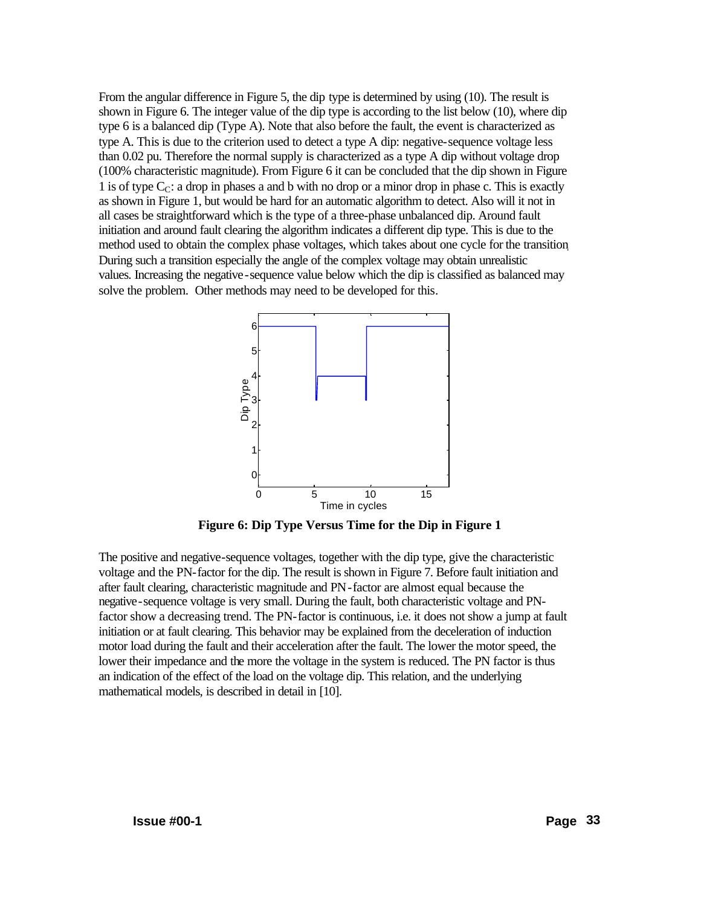From the angular difference in Figure 5, the dip type is determined by using (10). The result is shown in Figure 6. The integer value of the dip type is according to the list below (10), where dip type 6 is a balanced dip (Type A). Note that also before the fault, the event is characterized as type A. This is due to the criterion used to detect a type A dip: negative-sequence voltage less than 0.02 pu. Therefore the normal supply is characterized as a type A dip without voltage drop (100% characteristic magnitude). From Figure 6 it can be concluded that the dip shown in Figure 1 is of type  $C_{\mathcal{C}}$ : a drop in phases a and b with no drop or a minor drop in phase c. This is exactly as shown in Figure 1, but would be hard for an automatic algorithm to detect. Also will it not in all cases be straightforward which is the type of a three-phase unbalanced dip. Around fault initiation and around fault clearing the algorithm indicates a different dip type. This is due to the method used to obtain the complex phase voltages, which takes about one cycle for the transition. During such a transition especially the angle of the complex voltage may obtain unrealistic values. Increasing the negative-sequence value below which the dip is classified as balanced may solve the problem. Other methods may need to be developed for this.



**Figure 6: Dip Type Versus Time for the Dip in Figure 1**

The positive and negative-sequence voltages, together with the dip type, give the characteristic voltage and the PN-factor for the dip. The result is shown in Figure 7. Before fault initiation and after fault clearing, characteristic magnitude and PN-factor are almost equal because the negative-sequence voltage is very small. During the fault, both characteristic voltage and PNfactor show a decreasing trend. The PN-factor is continuous, i.e. it does not show a jump at fault initiation or at fault clearing. This behavior may be explained from the deceleration of induction motor load during the fault and their acceleration after the fault. The lower the motor speed, the lower their impedance and the more the voltage in the system is reduced. The PN factor is thus an indication of the effect of the load on the voltage dip. This relation, and the underlying mathematical models, is described in detail in [10].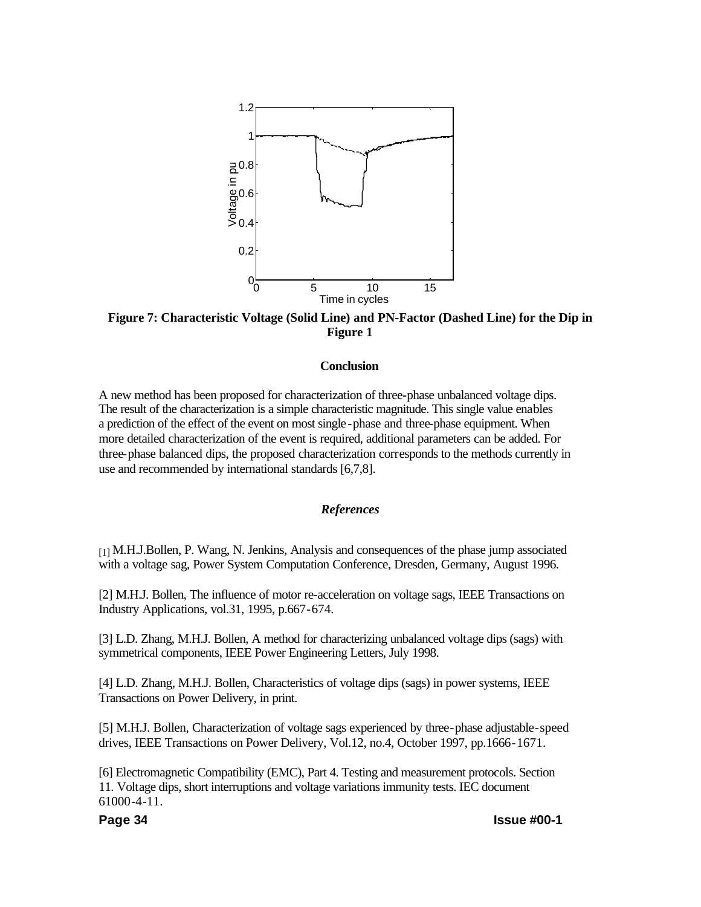

**Figure 7: Characteristic Voltage (Solid Line) and PN-Factor (Dashed Line) for the Dip in Figure 1**

#### **Conclusion**

A new method has been proposed for characterization of three-phase unbalanced voltage dips. The result of the characterization is a simple characteristic magnitude. This single value enables a prediction of the effect of the event on most single-phase and three-phase equipment. When more detailed characterization of the event is required, additional parameters can be added. For three-phase balanced dips, the proposed characterization corresponds to the methods currently in use and recommended by international standards [6,7,8].

#### *References*

[1] M.H.J.Bollen, P. Wang, N. Jenkins, Analysis and consequences of the phase jump associated with a voltage sag, Power System Computation Conference, Dresden, Germany, August 1996.

[2] M.H.J. Bollen, The influence of motor re-acceleration on voltage sags, IEEE Transactions on Industry Applications, vol.31, 1995, p.667-674.

[3] L.D. Zhang, M.H.J. Bollen, A method for characterizing unbalanced voltage dips (sags) with symmetrical components, IEEE Power Engineering Letters, July 1998.

[4] L.D. Zhang, M.H.J. Bollen, Characteristics of voltage dips (sags) in power systems, IEEE Transactions on Power Delivery, in print.

[5] M.H.J. Bollen, Characterization of voltage sags experienced by three-phase adjustable-speed drives, IEEE Transactions on Power Delivery, Vol.12, no.4, October 1997, pp.1666-1671.

[6] Electromagnetic Compatibility (EMC), Part 4. Testing and measurement protocols. Section 11. Voltage dips, short interruptions and voltage variations immunity tests. IEC document 61000-4-11.